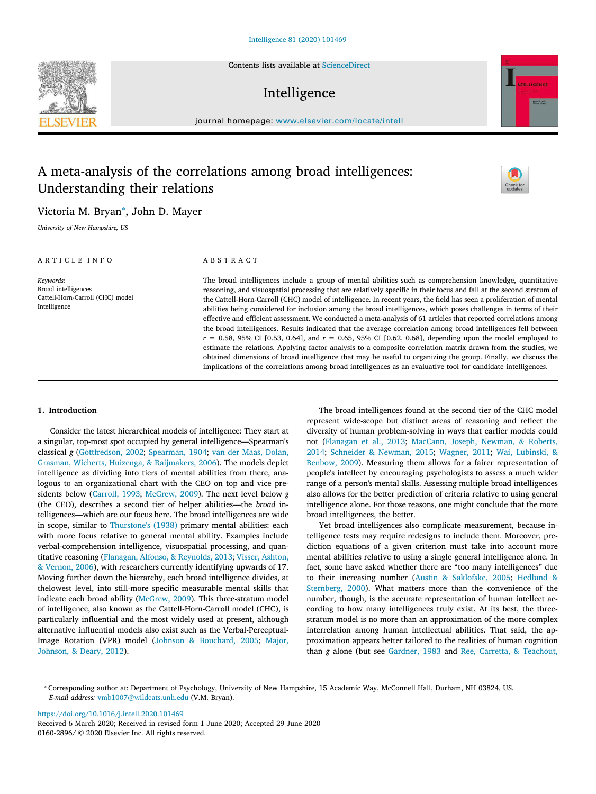Contents lists available at [ScienceDirect](http://www.sciencedirect.com/science/journal/01602896)

# Intelligence

journal homepage: [www.elsevier.com/locate/intell](https://www.elsevier.com/locate/intell)

# A meta-analysis of the correlations among broad intelligences: Understanding their relations



Victoria M. Bryan<sup>\*</sup>, John D. Mayer

*University of New Hampshire, US*

## ARTICLE INFO

*Keywords:* Broad intelligences Cattell-Horn-Carroll (CHC) model Intelligence

# ABSTRACT

The broad intelligences include a group of mental abilities such as comprehension knowledge, quantitative reasoning, and visuospatial processing that are relatively specific in their focus and fall at the second stratum of the Cattell-Horn-Carroll (CHC) model of intelligence. In recent years, the field has seen a proliferation of mental abilities being considered for inclusion among the broad intelligences, which poses challenges in terms of their effective and efficient assessment. We conducted a meta-analysis of 61 articles that reported correlations among the broad intelligences. Results indicated that the average correlation among broad intelligences fell between  $r = 0.58$ , 95% CI [0.53, 0.64], and  $r = 0.65$ , 95% CI [0.62, 0.68], depending upon the model employed to estimate the relations. Applying factor analysis to a composite correlation matrix drawn from the studies, we obtained dimensions of broad intelligence that may be useful to organizing the group. Finally, we discuss the implications of the correlations among broad intelligences as an evaluative tool for candidate intelligences.

# **1. Introduction**

Consider the latest hierarchical models of intelligence: They start at a singular, top-most spot occupied by general intelligence—Spearman's classical *g* [\(Gottfredson, 2002;](#page-12-0) [Spearman, 1904;](#page-13-0) [van der Maas, Dolan,](#page-12-1) [Grasman, Wicherts, Huizenga, & Raijmakers, 2006](#page-12-1)). The models depict intelligence as dividing into tiers of mental abilities from there, analogous to an organizational chart with the CEO on top and vice presidents below [\(Carroll, 1993](#page-11-0); [McGrew, 2009](#page-12-2)). The next level below *g* (the CEO), describes a second tier of helper abilities—the *broad* intelligences—which are our focus here. The broad intelligences are wide in scope, similar to [Thurstone's \(1938\)](#page-13-1) primary mental abilities: each with more focus relative to general mental ability. Examples include verbal-comprehension intelligence, visuospatial processing, and quantitative reasoning([Flanagan, Alfonso, & Reynolds, 2013](#page-12-3); [Visser, Ashton,](#page-13-2) [& Vernon, 2006](#page-13-2)), with researchers currently identifying upwards of 17. Moving further down the hierarchy, each broad intelligence divides, at thelowest level, into still-more specific measurable mental skills that indicate each broad ability([McGrew, 2009\)](#page-12-2). This three-stratum model of intelligence, also known as the Cattell-Horn-Carroll model (CHC), is particularly influential and the most widely used at present, although alternative influential models also exist such as the Verbal-Perceptual-Image Rotation (VPR) model [\(Johnson & Bouchard, 2005](#page-12-4); [Major,](#page-12-5) [Johnson, & Deary, 2012\)](#page-12-5).

The broad intelligences found at the second tier of the CHC model represent wide-scope but distinct areas of reasoning and reflect the diversity of human problem-solving in ways that earlier models could not [\(Flanagan et al., 2013](#page-12-3); [MacCann, Joseph, Newman, & Roberts,](#page-12-6) [2014;](#page-12-6) [Schneider & Newman, 2015](#page-13-3); [Wagner, 2011](#page-13-4); [Wai, Lubinski, &](#page-13-5) [Benbow, 2009](#page-13-5)). Measuring them allows for a fairer representation of people's intellect by encouraging psychologists to assess a much wider range of a person's mental skills. Assessing multiple broad intelligences also allows for the better prediction of criteria relative to using general intelligence alone. For those reasons, one might conclude that the more broad intelligences, the better.

Yet broad intelligences also complicate measurement, because intelligence tests may require redesigns to include them. Moreover, prediction equations of a given criterion must take into account more mental abilities relative to using a single general intelligence alone. In fact, some have asked whether there are "too many intelligences" due to their increasing number [\(Austin & Saklofske, 2005](#page-11-1); [Hedlund &](#page-12-7) [Sternberg, 2000](#page-12-7)). What matters more than the convenience of the number, though, is the accurate representation of human intellect according to how many intelligences truly exist. At its best, the threestratum model is no more than an approximation of the more complex interrelation among human intellectual abilities. That said, the approximation appears better tailored to the realities of human cognition than *g* alone (but see [Gardner, 1983](#page-12-8) and [Ree, Carretta, & Teachout,](#page-13-6)

<https://doi.org/10.1016/j.intell.2020.101469>



<span id="page-0-0"></span><sup>⁎</sup> Corresponding author at: Department of Psychology, University of New Hampshire, 15 Academic Way, McConnell Hall, Durham, NH 03824, US. *E-mail address:* [vmb1007@wildcats.unh.edu](mailto:vmb1007@wildcats.unh.edu) (V.M. Bryan).

Received 6 March 2020; Received in revised form 1 June 2020; Accepted 29 June 2020 0160-2896/ © 2020 Elsevier Inc. All rights reserved.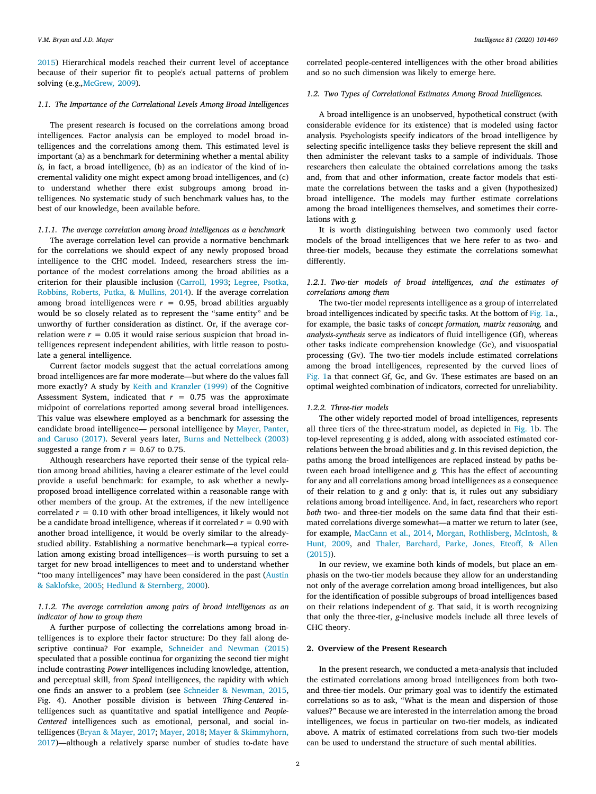[2015\)](#page-13-6) Hierarchical models reached their current level of acceptance because of their superior fit to people's actual patterns of problem solving (e.g.*,*[McGrew](#page-12-2)*,* 2009)*.*

#### *1.1. The Importance of the Correlational Levels Among Broad Intelligences*

The present research is focused on the correlations among broad intelligences. Factor analysis can be employed to model broad intelligences and the correlations among them. This estimated level is important (a) as a benchmark for determining whether a mental ability *is,* in fact, a broad intelligence, (b) as an indicator of the kind of incremental validity one might expect among broad intelligences, and (c) to understand whether there exist subgroups among broad intelligences. No systematic study of such benchmark values has, to the best of our knowledge, been available before.

## *1.1.1. The average correlation among broad intelligences as a benchmark*

The average correlation level can provide a normative benchmark for the correlations we should expect of any newly proposed broad intelligence to the CHC model. Indeed, researchers stress the importance of the modest correlations among the broad abilities as a criterion for their plausible inclusion([Carroll, 1993](#page-11-0); [Legree, Psotka,](#page-12-9) [Robbins, Roberts, Putka, & Mullins, 2014](#page-12-9)). If the average correlation among broad intelligences were  $r = 0.95$ , broad abilities arguably would be so closely related as to represent the "same entity" and be unworthy of further consideration as distinct. Or, if the average correlation were  $r = 0.05$  it would raise serious suspicion that broad intelligences represent independent abilities, with little reason to postulate a general intelligence.

Current factor models suggest that the actual correlations among broad intelligences are far more moderate—but where do the values fall more exactly? A study by [Keith and Kranzler \(1999\)](#page-12-10) of the Cognitive Assessment System, indicated that  $r = 0.75$  was the approximate midpoint of correlations reported among several broad intelligences. This value was elsewhere employed as a benchmark for assessing the candidate broad intelligence— personal intelligence by [Mayer, Panter,](#page-12-11) [and Caruso \(2017\).](#page-12-11) Several years later, [Burns and Nettelbeck \(2003\)](#page-11-2) suggested a range from  $r = 0.67$  to 0.75.

Although researchers have reported their sense of the typical relation among broad abilities, having a clearer estimate of the level could provide a useful benchmark: for example, to ask whether a newlyproposed broad intelligence correlated within a reasonable range with other members of the group. At the extremes, if the new intelligence correlated  $r = 0.10$  with other broad intelligences, it likely would not be a candidate broad intelligence, whereas if it correlated  $r = 0.90$  with another broad intelligence, it would be overly similar to the alreadystudied ability. Establishing a normative benchmark—a typical correlation among existing broad intelligences—is worth pursuing to set a target for new broad intelligences to meet and to understand whether "too many intelligences" may have been considered in the past([Austin](#page-11-1) [& Saklofske, 2005;](#page-11-1) [Hedlund & Sternberg, 2000\)](#page-12-7).

# *1.1.2. The average correlation among pairs of broad intelligences as an indicator of how to group them*

A further purpose of collecting the correlations among broad intelligences is to explore their factor structure: Do they fall along descriptive continua? For example, [Schneider and Newman \(2015\)](#page-13-3) speculated that a possible continua for organizing the second tier might include contrasting *Power* intelligences including knowledge, attention, and perceptual skill, from *Speed* intelligences, the rapidity with which one finds an answer to a problem (see [Schneider & Newman, 2015](#page-13-3), Fig. 4). Another possible division is between *Thing-Centered* intelligences such as quantitative and spatial intelligence and *People-Centered* intelligences such as emotional, personal, and social intelligences([Bryan & Mayer, 2017](#page-11-3); [Mayer, 2018;](#page-12-12) [Mayer & Skimmyhorn,](#page-12-13) [2017\)](#page-12-13)—although a relatively sparse number of studies to-date have

correlated people-centered intelligences with the other broad abilities and so no such dimension was likely to emerge here.

# *1.2. Two Types of Correlational Estimates Among Broad Intelligences.*

A broad intelligence is an unobserved, hypothetical construct (with considerable evidence for its existence) that is modeled using factor analysis. Psychologists specify indicators of the broad intelligence by selecting specific intelligence tasks they believe represent the skill and then administer the relevant tasks to a sample of individuals. Those researchers then calculate the obtained correlations among the tasks and, from that and other information, create factor models that estimate the correlations between the tasks and a given (hypothesized) broad intelligence. The models may further estimate correlations among the broad intelligences themselves, and sometimes their correlations with *g.*

It is worth distinguishing between two commonly used factor models of the broad intelligences that we here refer to as two- and three-tier models, because they estimate the correlations somewhat differently.

# *1.2.1. Two-tier models of broad intelligences, and the estimates of correlations among them*

The two-tier model represents intelligence as a group of interrelated broad intelligences indicated by specific tasks. At the bottom of [Fig. 1](#page-2-0)a., for example, the basic tasks of *concept formation, matrix reasoning,* and *analysis-synthesis* serve as indicators of fluid intelligence (Gf), whereas other tasks indicate comprehension knowledge (Gc), and visuospatial processing (Gv). The two-tier models include estimated correlations among the broad intelligences, represented by the curved lines of [Fig. 1](#page-2-0)a that connect Gf, Gc, and Gv. These estimates are based on an optimal weighted combination of indicators, corrected for unreliability.

## *1.2.2. Three-tier models*

The other widely reported model of broad intelligences, represents all three tiers of the three-stratum model, as depicted in [Fig. 1b](#page-2-0). The top-level representing *g* is added, along with associated estimated correlations between the broad abilities and *g*. In this revised depiction, the paths among the broad intelligences are replaced instead by paths between each broad intelligence and *g.* This has the effect of accounting for any and all correlations among broad intelligences as a consequence of their relation to *g* and *g* only: that is, it rules out any subsidiary relations among broad intelligence. And, in fact, researchers who report *both* two- and three-tier models on the same data find that their estimated correlations diverge somewhat—a matter we return to later (see, for example, [MacCann et al., 2014](#page-12-6), [Morgan, Rothlisberg, McIntosh, &](#page-13-7) [Hunt, 2009,](#page-13-7) and [Thaler, Barchard, Parke, Jones, Etcoff, & Allen](#page-13-8) [\(2015\)\)](#page-13-8).

In our review, we examine both kinds of models, but place an emphasis on the two-tier models because they allow for an understanding not only of the average correlation among broad intelligences, but also for the identification of possible subgroups of broad intelligences based on their relations independent of *g*. That said, it is worth recognizing that only the three-tier, *g*-inclusive models include all three levels of CHC theory.

## **2. Overview of the Present Research**

In the present research, we conducted a meta-analysis that included the estimated correlations among broad intelligences from both twoand three-tier models. Our primary goal was to identify the estimated correlations so as to ask, "What is the mean and dispersion of those values?" Because we are interested in the interrelation among the broad intelligences, we focus in particular on two-tier models, as indicated above. A matrix of estimated correlations from such two-tier models can be used to understand the structure of such mental abilities.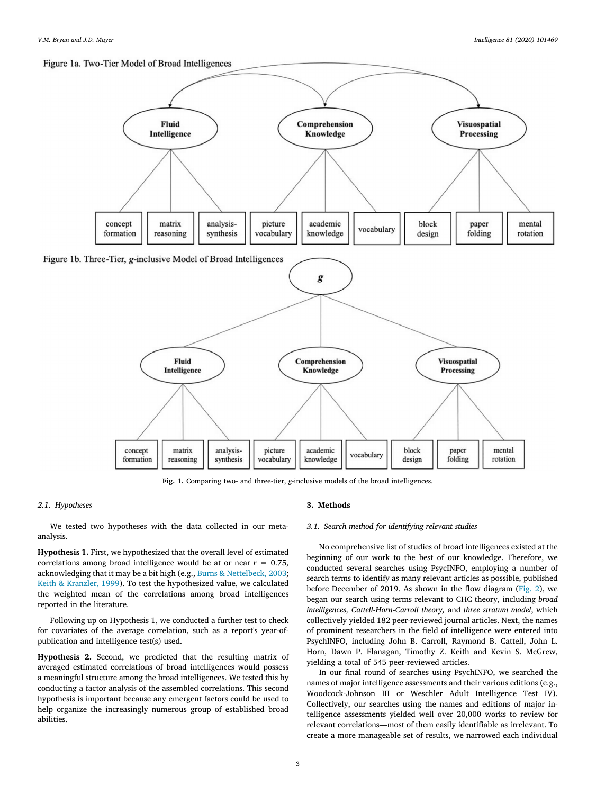# <span id="page-2-0"></span>Figure 1a. Two-Tier Model of Broad Intelligences



**Fig. 1.** Comparing two- and three-tier, *g-*inclusive models of the broad intelligences.

# *2.1. Hypotheses*

We tested two hypotheses with the data collected in our metaanalysis.

<span id="page-2-1"></span>**Hypothesis 1.** First, we hypothesized that the overall level of estimated correlations among broad intelligence would be at or near  $r = 0.75$ , acknowledging that it may be a bit high (e.g., [Burns & Nettelbeck, 2003](#page-11-2); [Keith & Kranzler, 1999](#page-12-10)). To test the hypothesized value, we calculated the weighted mean of the correlations among broad intelligences reported in the literature.

Following up on Hypothesis 1, we conducted a further test to check for covariates of the average correlation, such as a report's year-ofpublication and intelligence test(s) used.

<span id="page-2-2"></span>**Hypothesis 2.** Second, we predicted that the resulting matrix of averaged estimated correlations of broad intelligences would possess a meaningful structure among the broad intelligences. We tested this by conducting a factor analysis of the assembled correlations. This second hypothesis is important because any emergent factors could be used to help organize the increasingly numerous group of established broad abilities.

# **3. Methods**

## *3.1. Search method for identifying relevant studies*

No comprehensive list of studies of broad intelligences existed at the beginning of our work to the best of our knowledge. Therefore, we conducted several searches using PsycINFO, employing a number of search terms to identify as many relevant articles as possible, published before December of 2019. As shown in the flow diagram([Fig. 2](#page-3-0)), we began our search using terms relevant to CHC theory, including *broad intelligences, Cattell-Horn-Carroll theory,* and *three stratum model*, which collectively yielded 182 peer-reviewed journal articles. Next, the names of prominent researchers in the field of intelligence were entered into PsychINFO, including John B. Carroll, Raymond B. Cattell, John L. Horn, Dawn P. Flanagan, Timothy Z. Keith and Kevin S. McGrew, yielding a total of 545 peer-reviewed articles.

In our final round of searches using PsychINFO, we searched the names of major intelligence assessments and their various editions (e.g., Woodcock-Johnson III or Weschler Adult Intelligence Test IV). Collectively, our searches using the names and editions of major intelligence assessments yielded well over 20,000 works to review for relevant correlations—most of them easily identifiable as irrelevant. To create a more manageable set of results, we narrowed each individual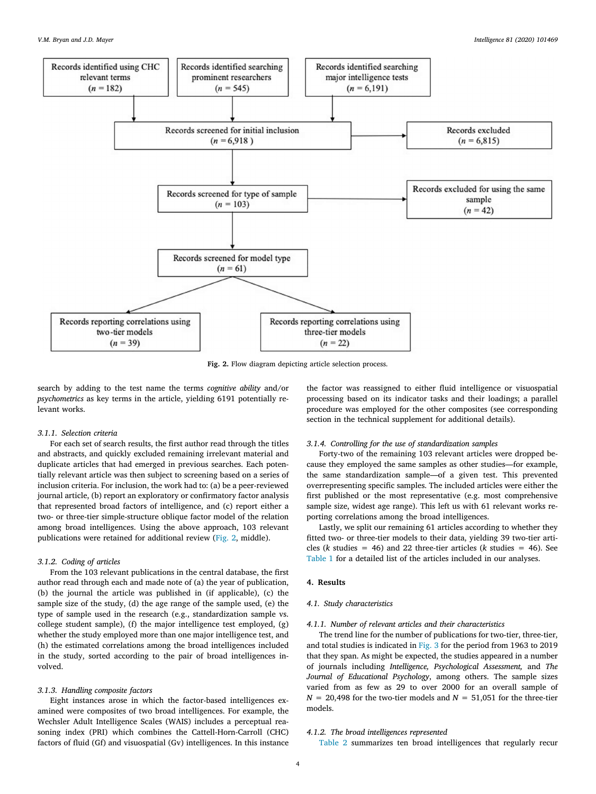<span id="page-3-0"></span>

**Fig. 2.** Flow diagram depicting article selection process.

search by adding to the test name the terms *cognitive ability* and/or *psychometrics* as key terms in the article, yielding 6191 potentially relevant works.

# *3.1.1. Selection criteria*

For each set of search results, the first author read through the titles and abstracts, and quickly excluded remaining irrelevant material and duplicate articles that had emerged in previous searches. Each potentially relevant article was then subject to screening based on a series of inclusion criteria. For inclusion, the work had to: (a) be a peer-reviewed journal article, (b) report an exploratory or confirmatory factor analysis that represented broad factors of intelligence, and (c) report either a two- or three-tier simple-structure oblique factor model of the relation among broad intelligences. Using the above approach, 103 relevant publications were retained for additional review([Fig. 2,](#page-3-0) middle).

# *3.1.2. Coding of articles*

From the 103 relevant publications in the central database, the first author read through each and made note of (a) the year of publication, (b) the journal the article was published in (if applicable), (c) the sample size of the study, (d) the age range of the sample used, (e) the type of sample used in the research (e.g., standardization sample vs. college student sample), (f) the major intelligence test employed, (g) whether the study employed more than one major intelligence test, and (h) the estimated correlations among the broad intelligences included in the study, sorted according to the pair of broad intelligences involved.

#### *3.1.3. Handling composite factors*

Eight instances arose in which the factor-based intelligences examined were composites of two broad intelligences. For example, the Wechsler Adult Intelligence Scales (WAIS) includes a perceptual reasoning index (PRI) which combines the Cattell-Horn-Carroll (CHC) factors of fluid (Gf) and visuospatial (Gv) intelligences. In this instance the factor was reassigned to either fluid intelligence or visuospatial processing based on its indicator tasks and their loadings; a parallel procedure was employed for the other composites (see corresponding section in the technical supplement for additional details).

## *3.1.4. Controlling for the use of standardization samples*

Forty-two of the remaining 103 relevant articles were dropped because they employed the same samples as other studies—for example, the same standardization sample—of a given test. This prevented overrepresenting specific samples. The included articles were either the first published or the most representative (e.g. most comprehensive sample size, widest age range). This left us with 61 relevant works reporting correlations among the broad intelligences.

Lastly, we split our remaining 61 articles according to whether they fitted two- or three-tier models to their data, yielding 39 two-tier articles ( $k$  studies = 46) and 22 three-tier articles ( $k$  studies = 46). See [Table 1](#page-4-0) for a detailed list of the articles included in our analyses.

## **4. Results**

## *4.1. Study characteristics*

## *4.1.1. Number of relevant articles and their characteristics*

The trend line for the number of publications for two-tier, three-tier, and total studies is indicated in [Fig. 3](#page-6-0) for the period from 1963 to 2019 that they span. As might be expected, the studies appeared in a number of journals including *Intelligence, Psychological Assessment,* and *The Journal of Educational Psychology*, among others. The sample sizes varied from as few as 29 to over 2000 for an overall sample of  $N = 20,498$  for the two-tier models and  $N = 51,051$  for the three-tier models.

# *4.1.2. The broad intelligences represented*

[Table 2](#page-6-1) summarizes ten broad intelligences that regularly recur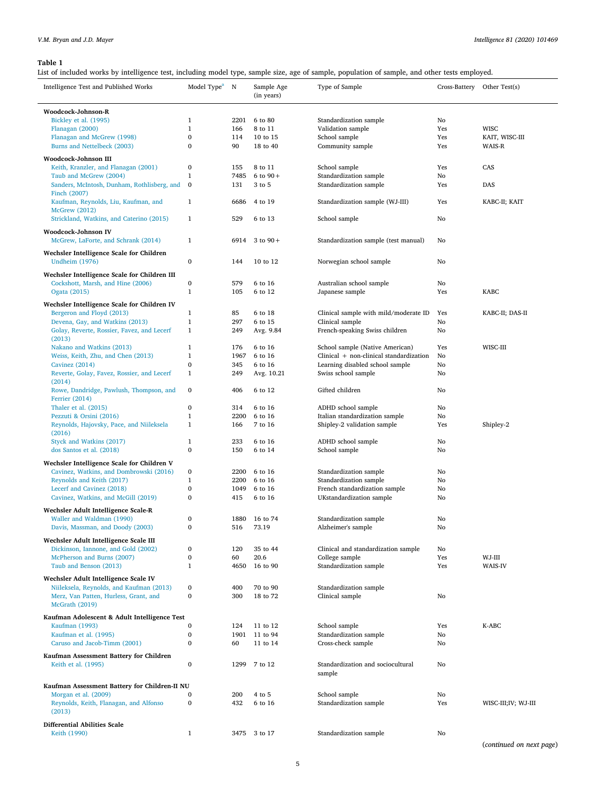<span id="page-4-0"></span>List of included works by intelligence test, including model type, sample size, age of sample, population of sample, and other tests employed.

| Intelligence Test and Published Works                                         | Model Type <sup>a</sup> N            |            | Sample Age<br>(in years) | Type of Sample                                        |           | Cross-Battery Other Test(s) |
|-------------------------------------------------------------------------------|--------------------------------------|------------|--------------------------|-------------------------------------------------------|-----------|-----------------------------|
| Woodcock-Johnson-R                                                            |                                      |            |                          |                                                       |           |                             |
| Bickley et al. (1995)                                                         | $\mathbf{1}$                         | 2201       | 6 to 80                  | Standardization sample                                | No        |                             |
| Flanagan (2000)                                                               | $\mathbf 1$                          | 166        | 8 to 11                  | Validation sample                                     | Yes       | <b>WISC</b>                 |
| Flanagan and McGrew (1998)                                                    | $\bf{0}$                             | 114        | 10 to 15                 | School sample                                         | Yes       | KAIT, WISC-III              |
| Burns and Nettelbeck (2003)                                                   | $\bf{0}$                             | 90         | 18 to 40                 | Community sample                                      | Yes       | WAIS-R                      |
| Woodcock-Johnson III                                                          |                                      |            |                          |                                                       |           |                             |
| Keith, Kranzler, and Flanagan (2001)                                          | $\bf{0}$                             | 155        | 8 to 11                  | School sample                                         | Yes       | CAS                         |
| Taub and McGrew (2004)                                                        | $\mathbf{1}$                         | 7485       | 6 to $90 +$              | Standardization sample                                | No        |                             |
| Sanders, McIntosh, Dunham, Rothlisberg, and                                   | $\bf{0}$                             | 131        | 3 to 5                   | Standardization sample                                | Yes       | DAS                         |
| Finch (2007)                                                                  |                                      |            |                          |                                                       |           |                             |
| Kaufman, Reynolds, Liu, Kaufman, and                                          | $\mathbf{1}$                         | 6686       | 4 to 19                  | Standardization sample (WJ-III)                       | Yes       | KABC-II; KAIT               |
| <b>McGrew</b> (2012)                                                          |                                      |            |                          |                                                       |           |                             |
| Strickland, Watkins, and Caterino (2015)                                      | $\mathbf{1}$                         | 529        | 6 to 13                  | School sample                                         | No        |                             |
| Woodcock-Johnson IV                                                           |                                      |            |                          |                                                       |           |                             |
| McGrew, LaForte, and Schrank (2014)                                           | $\mathbf{1}$                         | 6914       | 3 to $90 +$              | Standardization sample (test manual)                  | No        |                             |
|                                                                               |                                      |            |                          |                                                       |           |                             |
| Wechsler Intelligence Scale for Children                                      |                                      |            |                          |                                                       |           |                             |
| <b>Undheim</b> (1976)                                                         | $\bf{0}$                             | 144        | 10 to 12                 | Norwegian school sample                               | No        |                             |
| Wechsler Intelligence Scale for Children III                                  |                                      |            |                          |                                                       |           |                             |
| Cockshott, Marsh, and Hine (2006)                                             | $\bf{0}$                             | 579        | 6 to 16                  | Australian school sample                              | No        |                             |
| Ogata (2015)                                                                  | $\mathbf{1}$                         | 105        | 6 to 12                  | Japanese sample                                       | Yes       | <b>KABC</b>                 |
|                                                                               |                                      |            |                          |                                                       |           |                             |
| Wechsler Intelligence Scale for Children IV                                   |                                      |            |                          |                                                       |           |                             |
| Bergeron and Floyd (2013)                                                     | $\mathbf{1}$<br>$\mathbf{1}$         | 85<br>297  | 6 to 18                  | Clinical sample with mild/moderate ID                 | Yes       | KABC-II; DAS-II             |
| Devena, Gay, and Watkins (2013)<br>Golay, Reverte, Rossier, Favez, and Lecerf | $\mathbf{1}$                         |            | 6 to 15                  | Clinical sample                                       | No        |                             |
| (2013)                                                                        |                                      | 249        | Avg. 9.84                | French-speaking Swiss children                        | No        |                             |
| Nakano and Watkins (2013)                                                     | $\mathbf{1}$                         | 176        | 6 to 16                  | School sample (Native American)                       | Yes       | WISC-III                    |
| Weiss, Keith, Zhu, and Chen (2013)                                            | $\mathbf 1$                          | 1967       | 6 to 16                  | Clinical + non-clinical standardization               | No        |                             |
| Cavinez (2014)                                                                | $\mathbf{0}$                         | 345        | 6 to 16                  | Learning disabled school sample                       | No        |                             |
| Reverte, Golay, Favez, Rossier, and Lecerf                                    | $\mathbf{1}$                         | 249        | Avg. 10.21               | Swiss school sample                                   | No        |                             |
| (2014)                                                                        |                                      |            |                          |                                                       |           |                             |
| Rowe, Dandridge, Pawlush, Thompson, and                                       | $\bf{0}$                             | 406        | 6 to 12                  | Gifted children                                       | No        |                             |
| Ferrier (2014)                                                                |                                      |            |                          |                                                       |           |                             |
| Thaler et al. (2015)                                                          | $\bf{0}$                             | 314        | 6 to 16                  | ADHD school sample                                    | No        |                             |
| Pezzuti & Orsini (2016)                                                       | $\mathbf{1}$                         | 2200       | 6 to 16                  | Italian standardization sample                        | No        |                             |
| Reynolds, Hajovsky, Pace, and Niileksela                                      | $\mathbf{1}$                         | 166        | 7 to 16                  | Shipley-2 validation sample                           | Yes       | Shipley-2                   |
| (2016)                                                                        |                                      |            |                          |                                                       |           |                             |
| Styck and Watkins (2017)                                                      | $\mathbf 1$                          | 233        | 6 to 16                  | ADHD school sample                                    | No        |                             |
| dos Santos et al. (2018)                                                      | $\bf{0}$                             | 150        | 6 to 14                  | School sample                                         | No        |                             |
| Wechsler Intelligence Scale for Children V                                    |                                      |            |                          |                                                       |           |                             |
| Cavinez, Watkins, and Dombrowski (2016)                                       | $\bf{0}$                             | 2200       | 6 to 16                  | Standardization sample                                | No        |                             |
| Reynolds and Keith (2017)                                                     | $\mathbf{1}$                         | 2200       | 6 to 16                  | Standardization sample                                | No        |                             |
| Lecerf and Cavinez (2018)                                                     | $\bf{0}$                             | 1049       | 6 to 16                  | French standardization sample                         | No        |                             |
| Cavinez, Watkins, and McGill (2019)                                           | $\bf{0}$                             | 415        | 6 to 16                  | UKstandardization sample                              | No        |                             |
| Wechsler Adult Intelligence Scale-R                                           |                                      |            |                          |                                                       |           |                             |
| Waller and Waldman (1990)                                                     | $\boldsymbol{0}$                     |            | 1880 16 to 74            | Standardization sample                                | No        |                             |
| Davis, Massman, and Doody (2003)                                              | $\boldsymbol{0}$                     | 516        | 73.19                    | Alzheimer's sample                                    | No        |                             |
|                                                                               |                                      |            |                          |                                                       |           |                             |
| Wechsler Adult Intelligence Scale III                                         |                                      |            |                          |                                                       |           |                             |
| Dickinson, Iannone, and Gold (2002)<br>McPherson and Burns (2007)             | $\boldsymbol{0}$<br>$\boldsymbol{0}$ | 120        | 35 to 44<br>20.6         | Clinical and standardization sample<br>College sample | No<br>Yes | WJ-III                      |
| Taub and Benson (2013)                                                        | $\mathbf{1}$                         | 60<br>4650 | 16 to 90                 | Standardization sample                                | Yes       | WAIS-IV                     |
|                                                                               |                                      |            |                          |                                                       |           |                             |
| Wechsler Adult Intelligence Scale IV                                          |                                      |            |                          |                                                       |           |                             |
| Niileksela, Reynolds, and Kaufman (2013)                                      | $\bf{0}$                             | 400        | 70 to 90                 | Standardization sample                                |           |                             |
| Merz, Van Patten, Hurless, Grant, and                                         | $\bf{0}$                             | 300        | 18 to 72                 | Clinical sample                                       | No        |                             |
| McGrath (2019)                                                                |                                      |            |                          |                                                       |           |                             |
| Kaufman Adolescent & Adult Intelligence Test                                  |                                      |            |                          |                                                       |           |                             |
| Kaufman (1993)                                                                | $\bf{0}$                             | 124        | 11 to 12                 | School sample                                         | Yes       | K-ABC                       |
| Kaufman et al. (1995)                                                         | $\bf{0}$                             | 1901       | 11 to 94                 | Standardization sample                                | No        |                             |
| Caruso and Jacob-Timm (2001)                                                  | $\bf{0}$                             | 60         | 11 to 14                 | Cross-check sample                                    | No        |                             |
| Kaufman Assessment Battery for Children                                       |                                      |            |                          |                                                       |           |                             |
| Keith et al. (1995)                                                           | $\boldsymbol{0}$                     | 1299       | 7 to 12                  | Standardization and sociocultural                     | No        |                             |
|                                                                               |                                      |            |                          | sample                                                |           |                             |
|                                                                               |                                      |            |                          |                                                       |           |                             |
| Kaufman Assessment Battery for Children-II NU                                 |                                      |            |                          |                                                       |           |                             |
| Morgan et al. (2009)                                                          | 0                                    | 200        | 4 to 5                   | School sample                                         | No        |                             |
| Reynolds, Keith, Flanagan, and Alfonso                                        | $\bf{0}$                             | 432        | 6 to 16                  | Standardization sample                                | Yes       | WISC-III;IV; WJ-III         |
| (2013)                                                                        |                                      |            |                          |                                                       |           |                             |
| <b>Differential Abilities Scale</b>                                           |                                      |            |                          |                                                       |           |                             |
| Keith (1990)                                                                  | $\mathbf{1}$                         | 3475       | 3 to 17                  | Standardization sample                                | No        |                             |
|                                                                               |                                      |            |                          |                                                       |           |                             |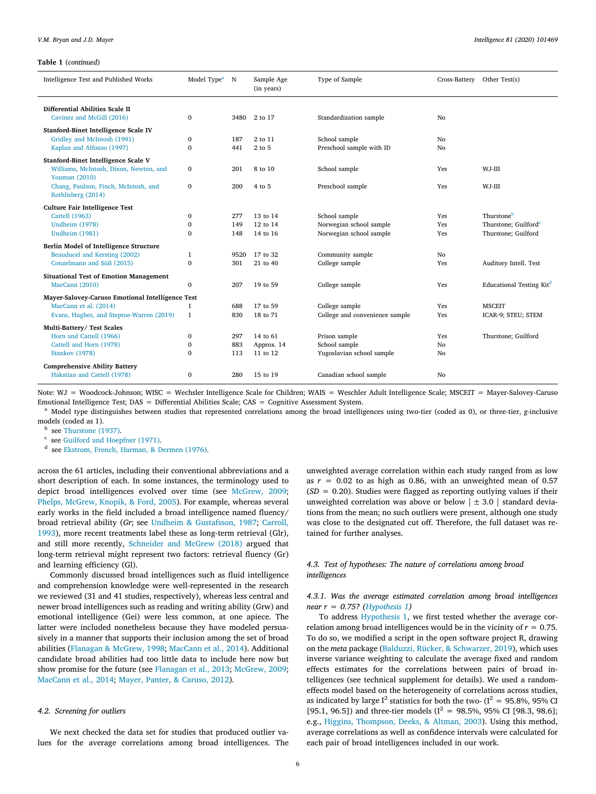#### **Table 1** (*continued*)

| Intelligence Test and Published Works                                                                                                                                            | Model Type <sup>a</sup> N              |                          | Sample Age<br>(in years)                       | Type of Sample                                                                        | Cross-Battery         | Other Test(s)                                                         |
|----------------------------------------------------------------------------------------------------------------------------------------------------------------------------------|----------------------------------------|--------------------------|------------------------------------------------|---------------------------------------------------------------------------------------|-----------------------|-----------------------------------------------------------------------|
| Differential Abilities Scale II<br>Cavinez and McGill (2016)                                                                                                                     | $\mathbf{0}$                           | 3480                     | 2 to 17                                        | Standardization sample                                                                | No                    |                                                                       |
| Stanford-Binet Intelligence Scale IV<br>Gridley and McIntosh (1991)<br>Kaplan and Alfonso (1997)                                                                                 | $\mathbf{0}$<br>$\mathbf{0}$           | 187<br>441               | 2 to 11<br>2 to 5                              | School sample<br>Preschool sample with ID                                             | No<br>No              |                                                                       |
| Stanford-Binet Intelligence Scale V<br>Williams, McIntosh, Dixon, Newton, and<br>Youman (2010)<br>Chang, Paulson, Finch, McIntosh, and                                           | $\mathbf{0}$<br>$\mathbf{0}$           | 201<br>200               | 8 to 10<br>4 to 5                              | School sample<br>Preschool sample                                                     | Yes<br>Yes            | WJ-III<br>WJ-III                                                      |
| Rothlisberg (2014)<br><b>Culture Fair Intelligence Test</b><br>Cattell (1963)<br><b>Undheim (1978)</b><br><b>Undheim</b> (1981)                                                  | $\mathbf 0$<br>$\mathbf 0$<br>$\Omega$ | 277<br>149<br>148        | 13 to 14<br>12 to 14<br>14 to 16               | School sample<br>Norwegian school sample<br>Norwegian school sample                   | Yes<br>Yes<br>Yes     | Thurstoneb<br>Thurstone; Guilford <sup>e</sup><br>Thurstone; Guilford |
| Berlin Model of Intelligence Structure<br>Beauducel and Kersting (2002)<br>Conzelmann and Süß (2015)                                                                             | $\mathbf{1}$<br>$\mathbf{0}$           | 9520<br>301              | 17 to 32<br>21 to 40                           | Community sample<br>College sample                                                    | No<br>Yes             | Auditory Intell. Test                                                 |
| <b>Situational Test of Emotion Management</b><br>MacCann (2010)                                                                                                                  | $\mathbf{0}$                           | 207                      | 19 to 59                                       | College sample                                                                        | Yes                   | Educational Testing Kit <sup>d</sup>                                  |
| Mayer-Salovey-Caruso Emotional Intelligence Test<br>MacCann et al. (2014)<br>Evans, Hughes, and Steptoe-Warren (2019)                                                            | $\mathbf{1}$<br>$\mathbf{1}$           | 688<br>830               | 17 to 59<br>18 to 71                           | College sample<br>College and convenience sample                                      | Yes<br>Yes            | <b>MSCEIT</b><br>ICAR-9; STEU; STEM                                   |
| Multi-Battery/ Test Scales<br>Horn and Cattell (1966)<br>Cattell and Horn (1978)<br><b>Stankov</b> (1978)<br><b>Comprehensive Ability Battery</b><br>Hakstian and Cattell (1978) | 0<br>0<br>$\Omega$<br>$\Omega$         | 297<br>883<br>113<br>280 | 14 to 61<br>Approx. 14<br>11 to 12<br>15 to 19 | Prison sample<br>School sample<br>Yugoslavian school sample<br>Canadian school sample | Yes<br>No<br>No<br>No | Thurstone; Guilford                                                   |
|                                                                                                                                                                                  |                                        |                          |                                                |                                                                                       |                       |                                                                       |

Note: WJ = Woodcock-Johnson; WISC = Wechsler Intelligence Scale for Children; WAIS = Weschler Adult Intelligence Scale; MSCEIT = Mayer-Salovey-Caruso Emotional Intelligence Test; DAS = Differential Abilities Scale; CAS = Cognitive Assessment System.

<span id="page-5-0"></span><sup>a</sup> Model type distinguishes between studies that represented correlations among the broad intelligences using two-tier (coded as 0), or three-tier, *g-*inclusive models (coded as 1).

<span id="page-5-1"></span>**b** see [Thurstone \(1937\).](#page-13-34)

<span id="page-5-2"></span>c see [Guilford and Hoepfner \(1971\).](#page-12-45)

<span id="page-5-3"></span>d see [Ekstrom, French, Harman, & Dermen \(1976\).](#page-12-46)

across the 61 articles, including their conventional abbreviations and a short description of each. In some instances, the terminology used to depict broad intelligences evolved over time (see [McGrew, 2009](#page-12-2); [Phelps, McGrew, Knopik, & Ford, 2005](#page-13-27)). For example, whereas several early works in the field included a broad intelligence named fluency/ broad retrieval ability (*Gr*; see [Undheim & Gustafsson, 1987;](#page-13-28) [Carroll,](#page-11-0) [1993\)](#page-11-0), more recent treatments label these as long-term retrieval (Glr), and still more recently, [Schneider and McGrew \(2018\)](#page-13-29) argued that long-term retrieval might represent two factors: retrieval fluency (Gr) and learning efficiency (Gl).

Commonly discussed broad intelligences such as fluid intelligence and comprehension knowledge were well-represented in the research we reviewed (31 and 41 studies, respectively), whereas less central and newer broad intelligences such as reading and writing ability (Grw) and emotional intelligence (Gei) were less common, at one apiece. The latter were included nonetheless because they have modeled persuasively in a manner that supports their inclusion among the set of broad abilities([Flanagan & McGrew, 1998;](#page-12-15) [MacCann et al., 2014](#page-12-6)). Additional candidate broad abilities had too little data to include here now but show promise for the future (see [Flanagan et al., 2013;](#page-12-3) [McGrew, 2009](#page-12-2); [MacCann et al., 2014;](#page-12-6) [Mayer, Panter, & Caruso, 2012](#page-12-34)).

#### *4.2. Screening for outliers*

We next checked the data set for studies that produced outlier values for the average correlations among broad intelligences. The unweighted average correlation within each study ranged from as low as  $r = 0.02$  to as high as 0.86, with an unweighted mean of 0.57  $(SD = 0.20)$ . Studies were flagged as reporting outlying values if their unweighted correlation was above or below  $\vert \pm 3.0 \vert$  standard deviations from the mean; no such outliers were present, although one study was close to the designated cut off. Therefore, the full dataset was retained for further analyses.

# *4.3. Test of hypotheses: The nature of correlations among broad intelligences*

# *4.3.1. Was the average estimated correlation among broad intelligences near r = 0.75?([Hypothesis 1\)](#page-2-1)*

To address [Hypothesis 1](#page-2-1), we first tested whether the average correlation among broad intelligences would be in the vicinity of  $r = 0.75$ . To do so, we modified a script in the open software project R, drawing on the *meta* package([Balduzzi, Rücker, & Schwarzer, 2019](#page-11-7)), which uses inverse variance weighting to calculate the average fixed and random effects estimates for the correlations between pairs of broad intelligences (see technical supplement for details). We used a randomeffects model based on the heterogeneity of correlations across studies, as indicated by large  $I^2$  statistics for both the two- ( $I^2 = 95.8\%$ , 95% CI [95.1, 96.5]) and three-tier models ( $I^2 = 98.5\%$ , 95% CI [98.3, 98.6]; e.g., [Higgins, Thompson, Deeks, & Altman, 2003\)](#page-12-35). Using this method, average correlations as well as confidence intervals were calculated for each pair of broad intelligences included in our work.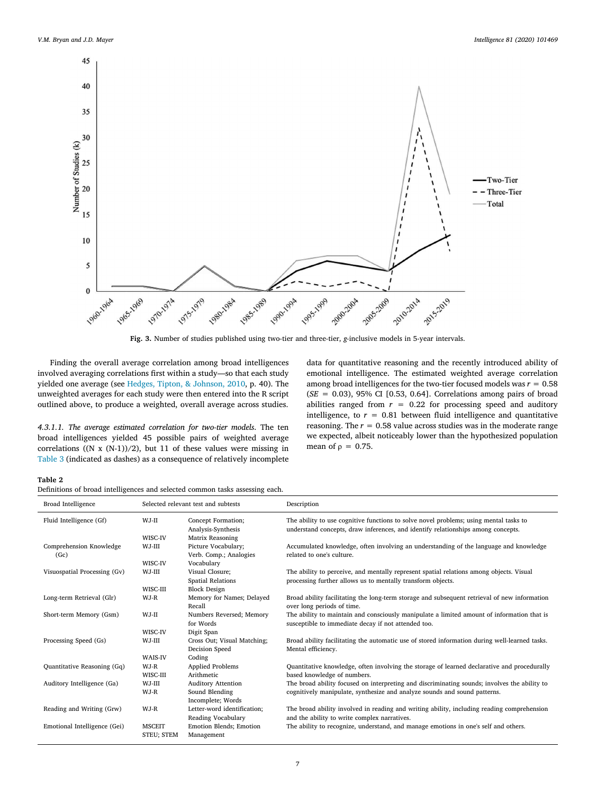<span id="page-6-0"></span>

**Fig. 3.** Number of studies published using two-tier and three-tier, *g*-inclusive models in 5-year intervals.

Finding the overall average correlation among broad intelligences involved averaging correlations first within a study—so that each study yielded one average (see [Hedges, Tipton, & Johnson, 2010](#page-12-47), p. 40). The unweighted averages for each study were then entered into the R script outlined above, to produce a weighted, overall average across studies.

*4.3.1.1. The average estimated correlation for two-tier models*. The ten broad intelligences yielded 45 possible pairs of weighted average correlations ((N x (N-1))/2), but 11 of these values were missing in [Table 3](#page-7-0) (indicated as dashes) as a consequence of relatively incomplete data for quantitative reasoning and the recently introduced ability of emotional intelligence. The estimated weighted average correlation among broad intelligences for the two-tier focused models was  $r = 0.58$ (*SE* = 0.03), 95% CI [0.53, 0.64]. Correlations among pairs of broad abilities ranged from  $r = 0.22$  for processing speed and auditory intelligence, to  $r = 0.81$  between fluid intelligence and quantitative reasoning. The  $r = 0.58$  value across studies was in the moderate range we expected, albeit noticeably lower than the hypothesized population mean of *ρ* = 0.75.

#### <span id="page-6-1"></span>**Table 2**

| Broad Intelligence              |                                                         | Selected relevant test and subtests               | Description                                                                                                                                                               |  |  |  |  |  |
|---------------------------------|---------------------------------------------------------|---------------------------------------------------|---------------------------------------------------------------------------------------------------------------------------------------------------------------------------|--|--|--|--|--|
| Fluid Intelligence (Gf)         | WJ-II                                                   | Concept Formation;<br>Analysis-Synthesis          | The ability to use cognitive functions to solve novel problems; using mental tasks to<br>understand concepts, draw inferences, and identify relationships among concepts. |  |  |  |  |  |
|                                 | WISC-IV                                                 | Matrix Reasoning                                  |                                                                                                                                                                           |  |  |  |  |  |
| Comprehension Knowledge<br>(Gc) | WJ-III                                                  | Picture Vocabulary;<br>Verb. Comp.; Analogies     | Accumulated knowledge, often involving an understanding of the language and knowledge<br>related to one's culture.                                                        |  |  |  |  |  |
|                                 | WISC-IV                                                 | Vocabulary                                        |                                                                                                                                                                           |  |  |  |  |  |
| Visuospatial Processing (Gv)    | WJ-III                                                  | Visual Closure;<br><b>Spatial Relations</b>       | The ability to perceive, and mentally represent spatial relations among objects. Visual<br>processing further allows us to mentally transform objects.                    |  |  |  |  |  |
|                                 | WISC-III                                                | <b>Block Design</b>                               |                                                                                                                                                                           |  |  |  |  |  |
| Long-term Retrieval (Glr)       | WJ-R                                                    | Memory for Names; Delayed<br>Recall               | Broad ability facilitating the long-term storage and subsequent retrieval of new information<br>over long periods of time.                                                |  |  |  |  |  |
| Short-term Memory (Gsm)         | Numbers Reversed; Memory<br>WJ-II<br>for Words          |                                                   | The ability to maintain and consciously manipulate a limited amount of information that is<br>susceptible to immediate decay if not attended too.                         |  |  |  |  |  |
|                                 | WISC-IV                                                 | Digit Span                                        |                                                                                                                                                                           |  |  |  |  |  |
| Processing Speed (Gs)           | WJ-III<br>Cross Out: Visual Matching;<br>Decision Speed |                                                   | Broad ability facilitating the automatic use of stored information during well-learned tasks.<br>Mental efficiency.                                                       |  |  |  |  |  |
|                                 | <b>WAIS-IV</b>                                          | Coding                                            |                                                                                                                                                                           |  |  |  |  |  |
| Quantitative Reasoning (Gq)     | WJ-R<br>WISC-III                                        | <b>Applied Problems</b><br>Arithmetic             | Quantitative knowledge, often involving the storage of learned declarative and procedurally<br>based knowledge of numbers.                                                |  |  |  |  |  |
| Auditory Intelligence (Ga)      | WJ-III                                                  | <b>Auditory Attention</b>                         | The broad ability focused on interpreting and discriminating sounds; involves the ability to                                                                              |  |  |  |  |  |
|                                 | WJ-R                                                    | Sound Blending<br>Incomplete; Words               | cognitively manipulate, synthesize and analyze sounds and sound patterns.                                                                                                 |  |  |  |  |  |
| Reading and Writing (Grw)       | WJ-R                                                    | Letter-word identification:<br>Reading Vocabulary | The broad ability involved in reading and writing ability, including reading comprehension<br>and the ability to write complex narratives.                                |  |  |  |  |  |
| Emotional Intelligence (Gei)    | <b>MSCEIT</b><br><b>STEU: STEM</b>                      | <b>Emotion Blends</b> ; Emotion<br>Management     | The ability to recognize, understand, and manage emotions in one's self and others.                                                                                       |  |  |  |  |  |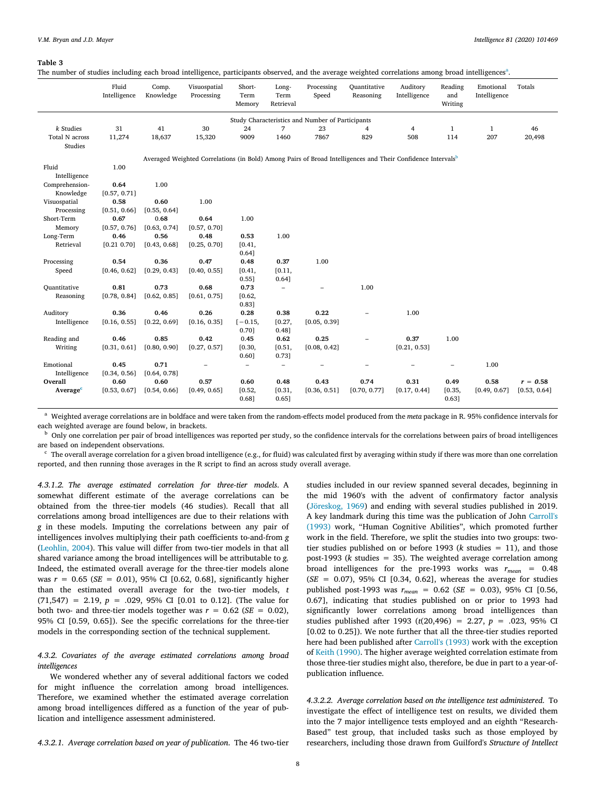<span id="page-7-0"></span>The number of studies including e[a](#page-7-1)ch broad intelligence, participants observed, and the average weighted correlations among broad intelligences<sup>a</sup>.

|                                                                                                                         | Fluid<br>Intelligence | Comp.<br>Knowledge | Visuospatial<br>Processing | Short-<br>Term<br>Memory | Long-<br>Term<br>Retrieval | Processing<br>Speed                              | Quantitative<br>Reasoning | Auditory<br>Intelligence | Reading<br>and<br>Writing | Emotional<br>Intelligence | Totals       |
|-------------------------------------------------------------------------------------------------------------------------|-----------------------|--------------------|----------------------------|--------------------------|----------------------------|--------------------------------------------------|---------------------------|--------------------------|---------------------------|---------------------------|--------------|
|                                                                                                                         |                       |                    |                            |                          |                            | Study Characteristics and Number of Participants |                           |                          |                           |                           |              |
| k Studies                                                                                                               | 31                    | 41                 | 30                         | 24                       | $\overline{7}$             | 23                                               | $\overline{4}$            | 4                        | $\mathbf{1}$              | $\mathbf{1}$              | 46           |
| Total N across<br>Studies                                                                                               | 11,274                | 18,637             | 15,320                     | 9009                     | 1460                       | 7867                                             | 829                       | 508                      | 114                       | 207                       | 20,498       |
| Averaged Weighted Correlations (in Bold) Among Pairs of Broad Intelligences and Their Confidence Intervals <sup>b</sup> |                       |                    |                            |                          |                            |                                                  |                           |                          |                           |                           |              |
| Fluid<br>Intelligence                                                                                                   | 1.00                  |                    |                            |                          |                            |                                                  |                           |                          |                           |                           |              |
| Comprehension-                                                                                                          | 0.64                  | 1.00               |                            |                          |                            |                                                  |                           |                          |                           |                           |              |
| Knowledge                                                                                                               | [0.57, 0.71]          |                    |                            |                          |                            |                                                  |                           |                          |                           |                           |              |
| Visuospatial                                                                                                            | 0.58                  | 0.60               | 1.00                       |                          |                            |                                                  |                           |                          |                           |                           |              |
| Processing                                                                                                              | [0.51, 0.66]          | [0.55, 0.64]       |                            |                          |                            |                                                  |                           |                          |                           |                           |              |
| Short-Term                                                                                                              | 0.67                  | 0.68               | 0.64                       | 1.00                     |                            |                                                  |                           |                          |                           |                           |              |
| Memory                                                                                                                  | [0.57, 0.76]          | [0.63, 0.74]       | [0.57, 0.70]               |                          |                            |                                                  |                           |                          |                           |                           |              |
| Long-Term                                                                                                               | 0.46                  | 0.56               | 0.48                       | 0.53                     | 1.00                       |                                                  |                           |                          |                           |                           |              |
| Retrieval                                                                                                               | [0.21 0.70]           | [0.43, 0.68]       | [0.25, 0.70]               | [0.41,                   |                            |                                                  |                           |                          |                           |                           |              |
|                                                                                                                         |                       |                    |                            | 0.64]                    |                            |                                                  |                           |                          |                           |                           |              |
| Processing                                                                                                              | 0.54                  | 0.36               | 0.47                       | 0.48                     | 0.37                       | 1.00                                             |                           |                          |                           |                           |              |
| Speed                                                                                                                   | [0.46, 0.62]          | [0.29, 0.43]       | [0.40, 0.55]               | [0.41,                   | [0.11,                     |                                                  |                           |                          |                           |                           |              |
|                                                                                                                         |                       |                    |                            | $0.55$ ]                 | 0.64]                      |                                                  |                           |                          |                           |                           |              |
| Quantitative                                                                                                            | 0.81                  | 0.73               | 0.68                       | 0.73                     | $\overline{\phantom{0}}$   |                                                  | 1.00                      |                          |                           |                           |              |
| Reasoning                                                                                                               | [0.78, 0.84]          | [0.62, 0.85]       | [0.61, 0.75]               | [0.62,<br>0.83]          |                            |                                                  |                           |                          |                           |                           |              |
| Auditory                                                                                                                | 0.36                  | 0.46               | 0.26                       | 0.28                     | 0.38                       | 0.22                                             |                           | 1.00                     |                           |                           |              |
| Intelligence                                                                                                            | [0.16, 0.55]          | [0.22, 0.69]       | [0.16, 0.35]               | $[-0.15,$<br>0.70]       | [0.27,<br>0.48]            | [0.05, 0.39]                                     |                           |                          |                           |                           |              |
| Reading and                                                                                                             | 0.46                  | 0.85               | 0.42                       | 0.45                     | 0.62                       | 0.25                                             |                           | 0.37                     | 1.00                      |                           |              |
| Writing                                                                                                                 | [0.31, 0.61]          | [0.80, 0.90]       | [0.27, 0.57]               | [0.30,<br>0.60]          | [0.51,<br>0.73]            | [0.08, 0.42]                                     |                           | [0.21, 0.53]             |                           |                           |              |
| Emotional                                                                                                               | 0.45                  | 0.71               | $\overline{\phantom{0}}$   | $\qquad \qquad -$        | $\overline{\phantom{a}}$   |                                                  | -                         |                          | $\overline{\phantom{a}}$  | 1.00                      |              |
| Intelligence                                                                                                            | [0.34, 0.56]          | [0.64, 0.78]       |                            |                          |                            |                                                  |                           |                          |                           |                           |              |
| Overall                                                                                                                 | 0.60                  | 0.60               | 0.57                       | 0.60                     | 0.48                       | 0.43                                             | 0.74                      | 0.31                     | 0.49                      | 0.58                      | $r = 0.58$   |
| Average <sup>c</sup>                                                                                                    | [0.53, 0.67]          | [0.54, 0.66]       | [0.49, 0.65]               | [0.52,<br>0.68]          | [0.31,<br>0.65]            | [0.36, 0.51]                                     | [0.70, 0.77]              | [0.17, 0.44]             | [0.35,<br>0.63]           | [0.49, 0.67]              | [0.53, 0.64] |

<span id="page-7-1"></span><sup>a</sup> Weighted average correlations are in boldface and were taken from the random-effects model produced from the *meta* package in R. 95% confidence intervals for each weighted average are found below, in brackets.

<span id="page-7-2"></span><sup>b</sup> Only one correlation per pair of broad intelligences was reported per study, so the confidence intervals for the correlations between pairs of broad intelligences are based on independent observations.

<span id="page-7-3"></span> $\cdot$  The overall average correlation for a given broad intelligence (e.g., for fluid) was calculated first by averaging within study if there was more than one correlation reported, and then running those averages in the R script to find an across study overall average.

*4.3.1.2. The average estimated correlation for three-tier models*. A somewhat different estimate of the average correlations can be obtained from the three-tier models (46 studies). Recall that all correlations among broad intelligences are due to their relations with *g* in these models. Imputing the correlations between any pair of intelligences involves multiplying their path coefficients to-and-from *g* ([Leohlin, 2004\)](#page-12-48). This value will differ from two-tier models in that all shared variance among the broad intelligences will be attributable to *g.* Indeed, the estimated overall average for the three-tier models alone was *r* = 0.65 (*SE = 0*.01), 95% CI [0.62, 0.68], significantly higher than the estimated overall average for the two-tier models, *t*  $(71,547)$  = 2.19,  $p = .029$ , 95% CI [0.01 to 0.12]. (The value for both two- and three-tier models together was  $r = 0.62$  (*SE* = 0.02), 95% CI [0.59, 0.65]). See the specific correlations for the three-tier models in the corresponding section of the technical supplement.

# *4.3.2. Covariates of the average estimated correlations among broad intelligences*

We wondered whether any of several additional factors we coded for might influence the correlation among broad intelligences. Therefore, we examined whether the estimated average correlation among broad intelligences differed as a function of the year of publication and intelligence assessment administered.

the mid 1960's with the advent of confirmatory factor analysis ([Jöreskog, 1969](#page-12-49)) and ending with several studies published in 2019. A key landmark during this time was the publication of John [Carroll's](#page-11-0) [\(1993\)](#page-11-0) work, "Human Cognitive Abilities", which promoted further work in the field. Therefore, we split the studies into two groups: twotier studies published on or before 1993 (*k* studies = 11), and those post-1993 (*k* studies = 35). The weighted average correlation among broad intelligences for the pre-1993 works was  $r_{mean} = 0.48$ (*SE =* 0.07), 95% CI [0.34, 0.62], whereas the average for studies published post-1993 was *rmean =* 0.62 (*SE =* 0.03), 95% CI [0.56, 0.67], indicating that studies published on or prior to 1993 had significantly lower correlations among broad intelligences than studies published after 1993 (*t*(20,496) = 2.27, *p* = .023, 95% CI [0.02 to 0.25]). We note further that all the three-tier studies reported here had been published after [Carroll's \(1993\)](#page-11-0) work with the exception of [Keith \(1990\)](#page-12-33). The higher average weighted correlation estimate from those three-tier studies might also, therefore, be due in part to a year-ofpublication influence.

studies included in our review spanned several decades, beginning in

*4.3.2.2. Average correlation based on the intelligence test administered*. To investigate the effect of intelligence test on results, we divided them into the 7 major intelligence tests employed and an eighth "Research-Based" test group, that included tasks such as those employed by researchers, including those drawn from Guilford's *Structure of Intellect*

*4.3.2.1. Average correlation based on year of publication*. The 46 two-tier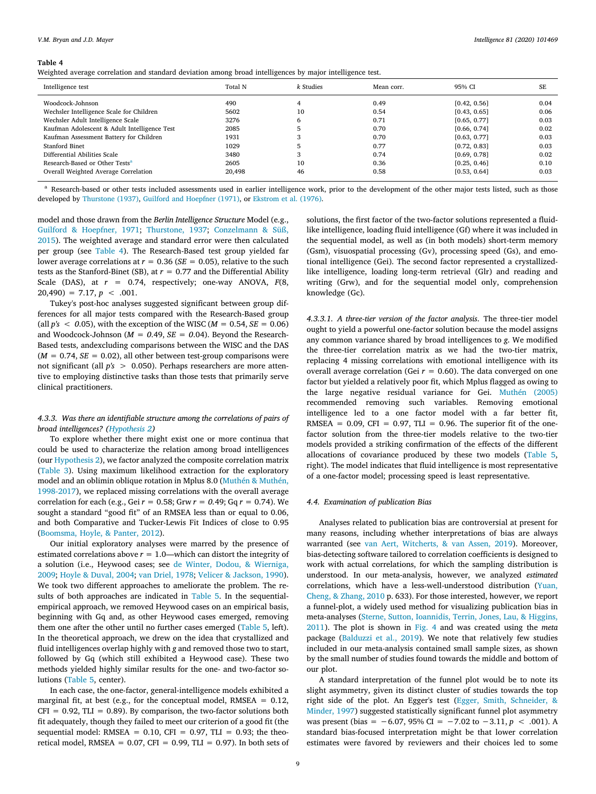<span id="page-8-0"></span>Weighted average correlation and standard deviation among broad intelligences by major intelligence test.

| Intelligence test                            | Total N | k Studies | Mean corr. | 95% CI       | SE   |
|----------------------------------------------|---------|-----------|------------|--------------|------|
| Woodcock-Johnson                             | 490     |           | 0.49       | [0.42, 0.56] | 0.04 |
| Wechsler Intelligence Scale for Children     | 5602    | 10        | 0.54       | [0.43, 0.65] | 0.06 |
| Wechsler Adult Intelligence Scale            | 3276    | 6         | 0.71       | [0.65, 0.77] | 0.03 |
| Kaufman Adolescent & Adult Intelligence Test | 2085    |           | 0.70       | [0.66, 0.74] | 0.02 |
| Kaufman Assessment Battery for Children      | 1931    |           | 0.70       | [0.63, 0.77] | 0.03 |
| <b>Stanford Binet</b>                        | 1029    | 5         | 0.77       | [0.72, 0.83] | 0.03 |
| Differential Abilities Scale                 | 3480    | 3         | 0.74       | [0.69, 0.78] | 0.02 |
| Research-Based or Other Tests <sup>a</sup>   | 2605    | 10        | 0.36       | [0.25, 0.46] | 0.10 |
| Overall Weighted Average Correlation         | 20,498  | 46        | 0.58       | [0.53, 0.64] | 0.03 |

<span id="page-8-1"></span><sup>a</sup> Research-based or other tests included assessments used in earlier intelligence work, prior to the development of the other major tests listed, such as those developed by [Thurstone \(1937\),](#page-13-34) [Guilford and Hoepfner \(1971\)](#page-12-45), or [Ekstrom et al. \(1976\).](#page-12-46)

model and those drawn from the *Berlin Intelligence Structure* Model (e.g., [Guilford & Hoepfner, 1971;](#page-12-45) [Thurstone, 1937](#page-13-34); [Conzelmann & Süß,](#page-12-40) [2015\)](#page-12-40). The weighted average and standard error were then calculated per group (see [Table 4](#page-8-0)). The Research-Based test group yielded far lower average correlations at  $r = 0.36$  (*SE* = 0.05), relative to the such tests as the Stanford-Binet (SB), at  $r = 0.77$  and the Differential Ability Scale (DAS), at *r* = 0.74, respectively; one-way ANOVA, *F*(8,  $20,490$  = 7.17,  $p < .001$ .

Tukey's post-hoc analyses suggested significant between group differences for all major tests compared with the Research-Based group (all  $p's < 0.05$ ), with the exception of the WISC ( $M = 0.54$ ,  $SE = 0.06$ ) and Woodcock-Johnson (*M = 0*.49, *SE = 0*.04). Beyond the Research-Based tests, andexcluding comparisons between the WISC and the DAS  $(M = 0.74, SE = 0.02)$ , all other between test-group comparisons were not significant (all *p's* > 0.050). Perhaps researchers are more attentive to employing distinctive tasks than those tests that primarily serve clinical practitioners.

# *4.3.3. Was there an identifiable structure among the correlations of pairs of broad intelligences? [\(Hypothesis 2\)](#page-2-2)*

To explore whether there might exist one or more continua that could be used to characterize the relation among broad intelligences (our [Hypothesis 2\)](#page-2-2), we factor analyzed the composite correlation matrix ([Table 3](#page-7-0)). Using maximum likelihood extraction for the exploratory model and an oblimin oblique rotation in Mplus 8.0([Muthén & Muthén,](#page-13-35) [1998-2017](#page-13-35)), we replaced missing correlations with the overall average correlation for each (e.g., Gei *r* = 0.58; Grw *r = 0.*49; Gq *r* = 0.74). We sought a standard "good fit" of an RMSEA less than or equal to 0.06, and both Comparative and Tucker-Lewis Fit Indices of close to 0.95 ([Boomsma, Hoyle, & Panter, 2012](#page-11-11)).

Our initial exploratory analyses were marred by the presence of estimated correlations above  $r = 1.0$ —which can distort the integrity of a solution (i.e., Heywood cases; see [de Winter, Dodou, & Wierniga,](#page-12-50) [2009;](#page-12-50) [Hoyle & Duval, 2004](#page-12-51); [van Driel, 1978;](#page-12-52) [Velicer & Jackson, 1990](#page-13-36)). We took two different approaches to ameliorate the problem. The results of both approaches are indicated in [Table 5](#page-9-0). In the sequentialempirical approach, we removed Heywood cases on an empirical basis, beginning with Gq and, as other Heywood cases emerged, removing them one after the other until no further cases emerged([Table 5](#page-9-0), left). In the theoretical approach, we drew on the idea that crystallized and fluid intelligences overlap highly with *g* and removed those two to start, followed by Gq (which still exhibited a Heywood case). These two methods yielded highly similar results for the one- and two-factor solutions [\(Table 5](#page-9-0), center).

In each case, the one-factor, general-intelligence models exhibited a marginal fit, at best (e.g., for the conceptual model,  $RMSEA = 0.12$ ,  $CFI = 0.92$ , TLI = 0.89). By comparison, the two-factor solutions both fit adequately, though they failed to meet our criterion of a good fit (the sequential model: RMSEA =  $0.10$ , CFI =  $0.97$ , TLI = 0.93; the theoretical model, RMSEA =  $0.07$ , CFI =  $0.99$ , TLI = 0.97). In both sets of solutions, the first factor of the two-factor solutions represented a fluidlike intelligence, loading fluid intelligence (Gf) where it was included in the sequential model, as well as (in both models) short-term memory (Gsm), visuospatial processing (Gv), processing speed (Gs), and emotional intelligence (Gei). The second factor represented a crystallizedlike intelligence, loading long-term retrieval (Glr) and reading and writing (Grw), and for the sequential model only, comprehension knowledge (Gc).

*4.3.3.1. A three-tier version of the factor analysis*. The three-tier model ought to yield a powerful one-factor solution because the model assigns any common variance shared by broad intelligences to *g*. We modified the three-tier correlation matrix as we had the two-tier matrix, replacing 4 missing correlations with emotional intelligence with its overall average correlation (Gei  $r = 0.60$ ). The data converged on one factor but yielded a relatively poor fit, which Mplus flagged as owing to the large negative residual variance for Gei. [Muthén \(2005\)](#page-13-37) recommended removing such variables. Removing emotional intelligence led to a one factor model with a far better fit, RMSEA =  $0.09$ , CFI =  $0.97$ , TLI = 0.96. The superior fit of the onefactor solution from the three-tier models relative to the two-tier models provided a striking confirmation of the effects of the different allocations of covariance produced by these two models([Table 5](#page-9-0), right). The model indicates that fluid intelligence is most representative of a one-factor model; processing speed is least representative.

#### *4.4. Examination of publication Bias*

Analyses related to publication bias are controversial at present for many reasons, including whether interpretations of bias are always warranted (see [van Aert, Witcherts, & van Assen, 2019](#page-11-12)). Moreover, bias-detecting software tailored to correlation coefficients is designed to work with actual correlations, for which the sampling distribution is understood. In our meta-analysis, however, we analyzed *estimated* correlations, which have a less-well-understood distribution [\(Yuan,](#page-13-38) [Cheng, & Zhang, 2010](#page-13-38) p. 633). For those interested, however, we report a funnel-plot, a widely used method for visualizing publication bias in meta-analyses [\(Sterne, Sutton, Ioannidis, Terrin, Jones, Lau, & Higgins,](#page-13-39) [2011\)](#page-13-39). The plot is shown in [Fig. 4](#page-9-1) and was created using the *meta* package([Balduzzi et al., 2019\)](#page-11-7). We note that relatively few studies included in our meta-analysis contained small sample sizes, as shown by the small number of studies found towards the middle and bottom of our plot.

A standard interpretation of the funnel plot would be to note its slight asymmetry, given its distinct cluster of studies towards the top right side of the plot. An Egger's test([Egger, Smith, Schneider, &](#page-12-53) [Minder, 1997\)](#page-12-53) suggested statistically significant funnel plot asymmetry was present (bias = −6.07, 95% CI = −7.02 to −3.11, *p* < .001). A standard bias-focused interpretation might be that lower correlation estimates were favored by reviewers and their choices led to some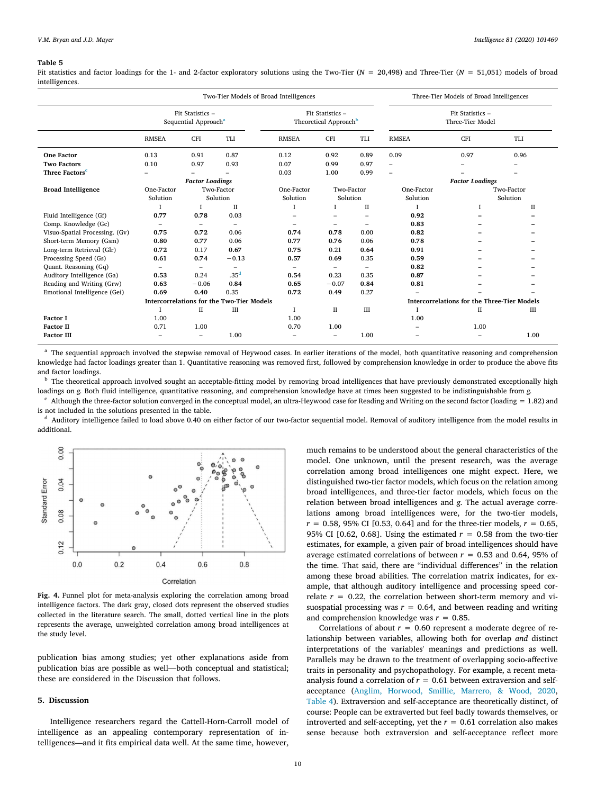<span id="page-9-0"></span>Fit statistics and factor loadings for the 1- and 2-factor exploratory solutions using the Two-Tier (*N* = 20,498) and Three-Tier (*N* = 51,051) models of broad intelligences.

|                                | Two-Tier Models of Broad Intelligences               |                          |                                                  |                          |                                                       | Three-Tier Models of Broad Intelligences |                                                    |                                      |             |  |
|--------------------------------|------------------------------------------------------|--------------------------|--------------------------------------------------|--------------------------|-------------------------------------------------------|------------------------------------------|----------------------------------------------------|--------------------------------------|-------------|--|
|                                | Fit Statistics -<br>Sequential Approach <sup>a</sup> |                          |                                                  |                          | Fit Statistics -<br>Theoretical Approach <sup>b</sup> |                                          |                                                    | Fit Statistics -<br>Three-Tier Model |             |  |
|                                | <b>RMSEA</b>                                         | <b>CFI</b>               | <b>TLI</b>                                       | <b>RMSEA</b>             | <b>CFI</b>                                            | TLI                                      | <b>RMSEA</b>                                       | <b>CFI</b>                           | TLI         |  |
| <b>One Factor</b>              | 0.13                                                 | 0.91                     | 0.87                                             | 0.12                     | 0.92                                                  | 0.89                                     | 0.09                                               | 0.97                                 | 0.96        |  |
| <b>Two Factors</b>             | 0.10                                                 | 0.97                     | 0.93                                             | 0.07                     | 0.99                                                  | 0.97                                     | $\overline{\phantom{0}}$                           |                                      |             |  |
| Three Factors <sup>c</sup>     |                                                      |                          |                                                  | 0.03                     | 1.00                                                  | 0.99                                     |                                                    |                                      |             |  |
|                                |                                                      | <b>Factor Loadings</b>   |                                                  |                          |                                                       |                                          |                                                    |                                      |             |  |
| <b>Broad Intelligence</b>      | One-Factor                                           |                          | Two-Factor                                       | One-Factor               | Two-Factor                                            |                                          | One-Factor                                         | Two-Factor                           |             |  |
|                                | Solution                                             |                          | Solution                                         | Solution                 | Solution                                              |                                          | Solution                                           |                                      | Solution    |  |
|                                |                                                      |                          | $\mathbf{H}$                                     |                          | I                                                     | $\mathbf{H}$                             | л                                                  | $\mathbf{I}$                         | $_{\rm II}$ |  |
| Fluid Intelligence (Gf)        | 0.77                                                 | 0.78                     | 0.03                                             |                          |                                                       |                                          | 0.92                                               |                                      |             |  |
| Comp. Knowledge (Gc)           | $\overline{\phantom{0}}$                             | $\overline{\phantom{0}}$ | $\equiv$                                         | $\overline{\phantom{0}}$ | -                                                     |                                          | 0.83                                               |                                      |             |  |
| Visuo-Spatial Processing. (Gv) | 0.75                                                 | 0.72                     | 0.06                                             | 0.74                     | 0.78                                                  | 0.00                                     | 0.82                                               |                                      |             |  |
| Short-term Memory (Gsm)        | 0.80                                                 | 0.77                     | 0.06                                             | 0.77                     | 0.76                                                  | 0.06                                     | 0.78                                               |                                      |             |  |
| Long-term Retrieval (Glr)      | 0.72                                                 | 0.17                     | 0.67                                             | 0.75                     | 0.21                                                  | 0.64                                     | 0.91                                               |                                      |             |  |
| Processing Speed (Gs)          | 0.61                                                 | 0.74                     | $-0.13$                                          | 0.57                     | 0.69                                                  | 0.35                                     | 0.59                                               |                                      |             |  |
| Quant. Reasoning (Gq)          |                                                      | $\overline{\phantom{a}}$ |                                                  |                          | $\overline{\phantom{0}}$                              |                                          | 0.82                                               |                                      |             |  |
| Auditory Intelligence (Ga)     | 0.53                                                 | 0.24                     | .35 <sup>d</sup>                                 | 0.54                     | 0.23                                                  | 0.35                                     | 0.87                                               |                                      |             |  |
| Reading and Writing (Grw)      | 0.63                                                 | $-0.06$                  | 0.84                                             | 0.65                     | $-0.07$                                               | 0.84                                     | 0.81                                               |                                      |             |  |
| Emotional Intelligence (Gei)   | 0.69                                                 | 0.40                     | 0.35                                             | 0.72                     | 0.49                                                  | 0.27                                     |                                                    |                                      |             |  |
|                                |                                                      |                          | <b>Intercorrelations for the Two-Tier Models</b> |                          |                                                       |                                          | <b>Intercorrelations for the Three-Tier Models</b> |                                      |             |  |
|                                |                                                      | П                        | III                                              |                          | П                                                     | III                                      |                                                    | П                                    | Ш           |  |
| <b>Factor I</b>                | 1.00                                                 |                          |                                                  | 1.00                     |                                                       |                                          | 1.00                                               |                                      |             |  |
| <b>Factor II</b>               | 0.71                                                 | 1.00                     |                                                  | 0.70                     | 1.00                                                  |                                          |                                                    | 1.00                                 |             |  |
| <b>Factor III</b>              | -                                                    | $\overline{\phantom{0}}$ | 1.00                                             |                          |                                                       | 1.00                                     |                                                    |                                      | 1.00        |  |

<span id="page-9-2"></span><sup>a</sup> The sequential approach involved the stepwise removal of Heywood cases. In earlier iterations of the model, both quantitative reasoning and comprehension knowledge had factor loadings greater than 1. Quantitative reasoning was removed first, followed by comprehension knowledge in order to produce the above fits and factor loadings.

<span id="page-9-3"></span><sup>b</sup> The theoretical approach involved sought an acceptable-fitting model by removing broad intelligences that have previously demonstrated exceptionally high loadings on *g.* Both fluid intelligence, quantitative reasoning, and comprehension knowledge have at times been suggested to be indistinguishable from *g.*

<span id="page-9-4"></span> $c$  Although the three-factor solution converged in the conceptual model, an ultra-Heywood case for Reading and Writing on the second factor (loading = 1.82) and is not included in the solutions presented in the table.

<span id="page-9-5"></span>Auditory intelligence failed to load above 0.40 on either factor of our two-factor sequential model. Removal of auditory intelligence from the model results in additional.

<span id="page-9-1"></span>

**Fig. 4.** Funnel plot for meta-analysis exploring the correlation among broad intelligence factors. The dark gray, closed dots represent the observed studies collected in the literature search. The small, dotted vertical line in the plots represents the average, unweighted correlation among broad intelligences at the study level.

publication bias among studies; yet other explanations aside from publication bias are possible as well—both conceptual and statistical; these are considered in the Discussion that follows.

#### **5. Discussion**

Intelligence researchers regard the Cattell-Horn-Carroll model of intelligence as an appealing contemporary representation of intelligences—and it fits empirical data well. At the same time, however,

much remains to be understood about the general characteristics of the model. One unknown, until the present research, was the average correlation among broad intelligences one might expect. Here, we distinguished two-tier factor models, which focus on the relation among broad intelligences, and three-tier factor models, which focus on the relation between broad intelligences and *g*. The actual average correlations among broad intelligences were, for the two-tier models,  $r = 0.58$ , 95% CI [0.53, 0.64] and for the three-tier models,  $r = 0.65$ , 95% CI [0.62, 0.68]. Using the estimated  $r = 0.58$  from the two-tier estimates, for example, a given pair of broad intelligences should have average estimated correlations of between  $r = 0.53$  and 0.64, 95% of the time. That said, there are "individual differences" in the relation among these broad abilities. The correlation matrix indicates, for example, that although auditory intelligence and processing speed correlate  $r = 0.22$ , the correlation between short-term memory and visuospatial processing was  $r = 0.64$ , and between reading and writing and comprehension knowledge was *r* = 0.85.

Correlations of about  $r = 0.60$  represent a moderate degree of relationship between variables, allowing both for overlap *and* distinct interpretations of the variables' meanings and predictions as well. Parallels may be drawn to the treatment of overlapping socio-affective traits in personality and psychopathology. For example, a recent metaanalysis found a correlation of  $r = 0.61$  between extraversion and selfacceptance [\(Anglim, Horwood, Smillie, Marrero, & Wood, 2020](#page-11-13), [Table 4](#page-8-0)). Extraversion and self-acceptance are theoretically distinct, of course: People can be extraverted but feel badly towards themselves, or introverted and self-accepting, yet the  $r = 0.61$  correlation also makes sense because both extraversion and self-acceptance reflect more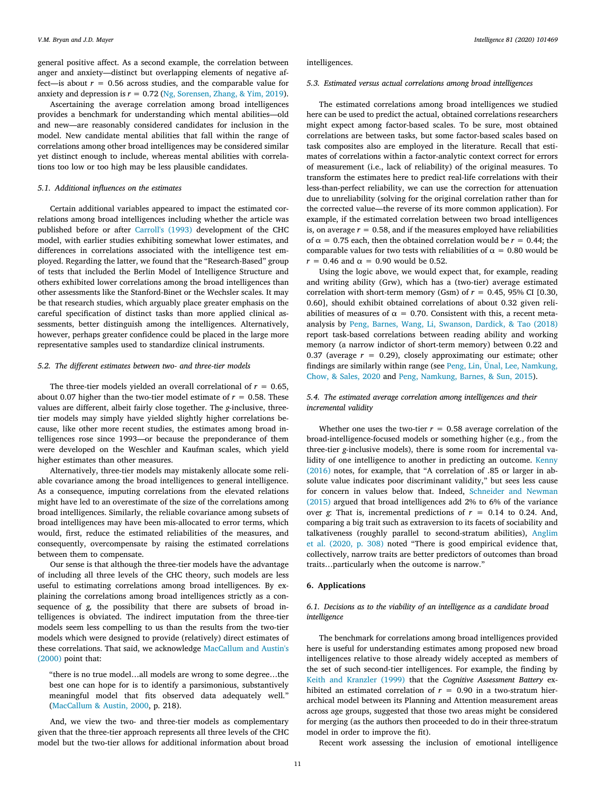general positive affect. As a second example, the correlation between anger and anxiety—distinct but overlapping elements of negative affect—is about  $r = 0.56$  across studies, and the comparable value for anxiety and depression is  $r = 0.72$  [\(Ng, Sorensen, Zhang, & Yim, 2019](#page-13-40)).

Ascertaining the average correlation among broad intelligences provides a benchmark for understanding which mental abilities—old and new—are reasonably considered candidates for inclusion in the model. New candidate mental abilities that fall within the range of correlations among other broad intelligences may be considered similar yet distinct enough to include, whereas mental abilities with correlations too low or too high may be less plausible candidates.

# *5.1. Additional influences on the estimates*

Certain additional variables appeared to impact the estimated correlations among broad intelligences including whether the article was published before or after [Carroll's \(1993\)](#page-11-0) development of the CHC model, with earlier studies exhibiting somewhat lower estimates, and differences in correlations associated with the intelligence test employed. Regarding the latter, we found that the "Research-Based" group of tests that included the Berlin Model of Intelligence Structure and others exhibited lower correlations among the broad intelligences than other assessments like the Stanford-Binet or the Wechsler scales. It may be that research studies, which arguably place greater emphasis on the careful specification of distinct tasks than more applied clinical assessments, better distinguish among the intelligences. Alternatively, however, perhaps greater confidence could be placed in the large more representative samples used to standardize clinical instruments.

## *5.2. The different estimates between two- and three-tier models*

The three-tier models yielded an overall correlational of  $r = 0.65$ , about 0.07 higher than the two-tier model estimate of  $r = 0.58$ . These values are different, albeit fairly close together. The *g-*inclusive, threetier models may simply have yielded slightly higher correlations because, like other more recent studies, the estimates among broad intelligences rose since 1993—or because the preponderance of them were developed on the Weschler and Kaufman scales, which yield higher estimates than other measures.

Alternatively, three-tier models may mistakenly allocate some reliable covariance among the broad intelligences to general intelligence. As a consequence, imputing correlations from the elevated relations might have led to an overestimate of the size of the correlations among broad intelligences. Similarly, the reliable covariance among subsets of broad intelligences may have been mis-allocated to error terms, which would, first, reduce the estimated reliabilities of the measures, and consequently, overcompensate by raising the estimated correlations between them to compensate.

Our sense is that although the three-tier models have the advantage of including all three levels of the CHC theory, such models are less useful to estimating correlations among broad intelligences. By explaining the correlations among broad intelligences strictly as a consequence of *g,* the possibility that there are subsets of broad intelligences is obviated. The indirect imputation from the three-tier models seem less compelling to us than the results from the two-tier models which were designed to provide (relatively) direct estimates of these correlations. That said, we acknowledge [MacCallum and Austin's](#page-12-54) [\(2000\)](#page-12-54) point that:

"there is no true model…all models are wrong to some degree…the best one can hope for is to identify a parsimonious, substantively meaningful model that fits observed data adequately well." [\(MacCallum & Austin, 2000,](#page-12-54) p. 218).

And, we view the two- and three-tier models as complementary given that the three-tier approach represents all three levels of the CHC model but the two-tier allows for additional information about broad

intelligences.

## *5.3. Estimated versus actual correlations among broad intelligences*

The estimated correlations among broad intelligences we studied here can be used to predict the actual, obtained correlations researchers might expect among factor-based scales. To be sure, most obtained correlations are between tasks, but some factor-based scales based on task composites also are employed in the literature. Recall that estimates of correlations within a factor-analytic context correct for errors of measurement (i.e., lack of reliability) of the original measures. To transform the estimates here to predict real-life correlations with their less-than-perfect reliability, we can use the correction for attenuation due to unreliability (solving for the original correlation rather than for the corrected value—the reverse of its more common application). For example, if the estimated correlation between two broad intelligences is, on average  $r = 0.58$ , and if the measures employed have reliabilities of  $\alpha$  = 0.75 each, then the obtained correlation would be  $r = 0.44$ ; the comparable values for two tests with reliabilities of  $\alpha = 0.80$  would be *r* = 0.46 and  $\alpha$  = 0.90 would be 0.52.

Using the logic above, we would expect that, for example, reading and writing ability (Grw), which has a (two-tier) average estimated correlation with short-term memory (Gsm) of  $r = 0.45$ , 95% CI [0.30, 0.60], should exhibit obtained correlations of about 0.32 given reliabilities of measures of  $\alpha = 0.70$ . Consistent with this, a recent metaanalysis by [Peng, Barnes, Wang, Li, Swanson, Dardick, & Tao \(2018\)](#page-13-41) report task-based correlations between reading ability and working memory (a narrow indictor of short-term memory) between 0.22 and 0.37 (average  $r = 0.29$ ), closely approximating our estimate; other findings are similarly within range (see [Peng, Lin, Ünal, Lee, Namkung,](#page-13-42) [Chow, & Sales, 2020](#page-13-42) and [Peng, Namkung, Barnes, & Sun, 2015\)](#page-13-43).

# *5.4. The estimated average correlation among intelligences and their incremental validity*

Whether one uses the two-tier  $r = 0.58$  average correlation of the broad-intelligence-focused models or something higher (e.g., from the three-tier *g-*inclusive models), there is some room for incremental validity of one intelligence to another in predicting an outcome. [Kenny](#page-12-55) [\(2016\)](#page-12-55) notes, for example, that "A correlation of .85 or larger in absolute value indicates poor discriminant validity," but sees less cause for concern in values below that. Indeed, [Schneider and Newman](#page-13-3) [\(2015\)](#page-13-3) argued that broad intelligences add 2% to 6% of the variance over *g*: That is, incremental predictions of  $r = 0.14$  to 0.24. And, comparing a big trait such as extraversion to its facets of sociability and talkativeness (roughly parallel to second-stratum abilities), [Anglim](#page-11-13) [et al. \(2020, p. 308\)](#page-11-13) noted "There is good empirical evidence that, collectively, narrow traits are better predictors of outcomes than broad traits…particularly when the outcome is narrow."

#### **6. Applications**

# *6.1. Decisions as to the viability of an intelligence as a candidate broad intelligence*

The benchmark for correlations among broad intelligences provided here is useful for understanding estimates among proposed new broad intelligences relative to those already widely accepted as members of the set of such second-tier intelligences. For example, the finding by [Keith and Kranzler \(1999\)](#page-12-10) that the *Cognitive Assessment Battery* exhibited an estimated correlation of  $r = 0.90$  in a two-stratum hierarchical model between its Planning and Attention measurement areas across age groups, suggested that those two areas might be considered for merging (as the authors then proceeded to do in their three-stratum model in order to improve the fit).

Recent work assessing the inclusion of emotional intelligence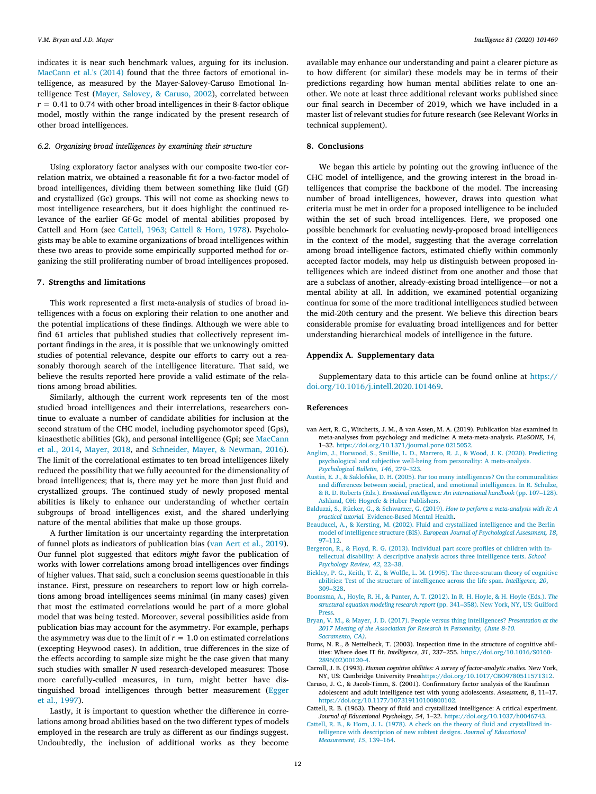indicates it is near such benchmark values, arguing for its inclusion. [MacCann et al.'s \(2014\)](#page-12-6) found that the three factors of emotional intelligence, as measured by the Mayer-Salovey-Caruso Emotional Intelligence Test [\(Mayer, Salovey, & Caruso, 2002\)](#page-12-56), correlated between  $r = 0.41$  to 0.74 with other broad intelligences in their 8-factor oblique model, mostly within the range indicated by the present research of other broad intelligences.

## *6.2. Organizing broad intelligences by examining their structure*

Using exploratory factor analyses with our composite two-tier correlation matrix, we obtained a reasonable fit for a two-factor model of broad intelligences, dividing them between something like fluid (Gf) and crystallized (Gc) groups. This will not come as shocking news to most intelligence researchers, but it does highlight the continued relevance of the earlier Gf-Gc model of mental abilities proposed by Cattell and Horn (see [Cattell, 1963;](#page-11-8) [Cattell & Horn, 1978](#page-11-10)). Psychologists may be able to examine organizations of broad intelligences within these two areas to provide some empirically supported method for organizing the still proliferating number of broad intelligences proposed.

## **7. Strengths and limitations**

This work represented a first meta-analysis of studies of broad intelligences with a focus on exploring their relation to one another and the potential implications of these findings. Although we were able to find 61 articles that published studies that collectively represent important findings in the area, it is possible that we unknowingly omitted studies of potential relevance, despite our efforts to carry out a reasonably thorough search of the intelligence literature. That said, we believe the results reported here provide a valid estimate of the relations among broad abilities.

Similarly, although the current work represents ten of the most studied broad intelligences and their interrelations, researchers continue to evaluate a number of candidate abilities for inclusion at the second stratum of the CHC model, including psychomotor speed (Gps), kinaesthetic abilities (Gk), and personal intelligence (Gpi; see [MacCann](#page-12-6) [et al., 2014](#page-12-6), [Mayer, 2018,](#page-12-12) and [Schneider, Mayer, & Newman, 2016](#page-13-44)). The limit of the correlational estimates to ten broad intelligences likely reduced the possibility that we fully accounted for the dimensionality of broad intelligences; that is, there may yet be more than just fluid and crystallized groups. The continued study of newly proposed mental abilities is likely to enhance our understanding of whether certain subgroups of broad intelligences exist, and the shared underlying nature of the mental abilities that make up those groups.

A further limitation is our uncertainty regarding the interpretation of funnel plots as indicators of publication bias [\(van Aert et al., 2019](#page-11-12)). Our funnel plot suggested that editors *might* favor the publication of works with lower correlations among broad intelligences over findings of higher values. That said, such a conclusion seems questionable in this instance. First, pressure on researchers to report low or high correlations among broad intelligences seems minimal (in many cases) given that most the estimated correlations would be part of a more global model that was being tested. Moreover, several possibilities aside from publication bias may account for the asymmetry. For example, perhaps the asymmetry was due to the limit of  $r = 1.0$  on estimated correlations (excepting Heywood cases). In addition, true differences in the size of the effects according to sample size might be the case given that many such studies with smaller *N* used research-developed measures: Those more carefully-culled measures, in turn, might better have distinguished broad intelligences through better measurement([Egger](#page-12-53) [et al., 1997](#page-12-53)).

Lastly, it is important to question whether the difference in correlations among broad abilities based on the two different types of models employed in the research are truly as different as our findings suggest. Undoubtedly, the inclusion of additional works as they become available may enhance our understanding and paint a clearer picture as to how different (or similar) these models may be in terms of their predictions regarding how human mental abilities relate to one another. We note at least three additional relevant works published since our final search in December of 2019, which we have included in a master list of relevant studies for future research (see Relevant Works in technical supplement).

## **8. Conclusions**

We began this article by pointing out the growing influence of the CHC model of intelligence, and the growing interest in the broad intelligences that comprise the backbone of the model. The increasing number of broad intelligences, however, draws into question what criteria must be met in order for a proposed intelligence to be included within the set of such broad intelligences. Here, we proposed one possible benchmark for evaluating newly-proposed broad intelligences in the context of the model, suggesting that the average correlation among broad intelligence factors, estimated chiefly within commonly accepted factor models, may help us distinguish between proposed intelligences which are indeed distinct from one another and those that are a subclass of another, already-existing broad intelligence—or not a mental ability at all. In addition, we examined potential organizing continua for some of the more traditional intelligences studied between the mid-20th century and the present. We believe this direction bears considerable promise for evaluating broad intelligences and for better understanding hierarchical models of intelligence in the future.

# **Appendix A. Supplementary data**

Supplementary data to this article can be found online at [https://](https://doi.org/10.1016/j.intell.2020.101469) [doi.org/10.1016/j.intell.2020.101469.](https://doi.org/10.1016/j.intell.2020.101469)

#### **References**

- <span id="page-11-12"></span>van Aert, R. C., Witcherts, J. M., & van Assen, M. A. (2019). Publication bias examined in meta-analyses from psychology and medicine: A meta-meta-analysis. *PLoSONE, 14*, 1–32. [https://doi.org/10.1371/journal.pone.0215052.](https://doi.org/10.1371/journal.pone.0215052)
- <span id="page-11-13"></span>[Anglim, J., Horwood, S., Smillie, L. D., Marrero, R. J., & Wood, J. K. \(2020\). Predicting](http://refhub.elsevier.com/S0160-2896(20)30047-7/rf0010) [psychological and subjective well-being from personality: A meta-analysis.](http://refhub.elsevier.com/S0160-2896(20)30047-7/rf0010) *[Psychological Bulletin, 146](http://refhub.elsevier.com/S0160-2896(20)30047-7/rf0010)*, 279–323.
- <span id="page-11-1"></span>[Austin, E. J., & Saklofske, D. H. \(2005\). Far too many intelligences? On the communalities](http://refhub.elsevier.com/S0160-2896(20)30047-7/rf0015) [and differences between social, practical, and emotional intelligences. In R. Schulze,](http://refhub.elsevier.com/S0160-2896(20)30047-7/rf0015) & R. D. Roberts (Eds.). *[Emotional intelligence: An international handbook](http://refhub.elsevier.com/S0160-2896(20)30047-7/rf0015)* (pp. 107–128). [Ashland, OH: Hogrefe & Huber Publishers](http://refhub.elsevier.com/S0160-2896(20)30047-7/rf0015).
- <span id="page-11-7"></span>[Balduzzi, S., Rücker, G., & Schwarzer, G. \(2019\).](http://refhub.elsevier.com/S0160-2896(20)30047-7/rf0020) *How to perform a meta-analysis with R: A practical tutorial.* [Evidence-Based Mental Health.](http://refhub.elsevier.com/S0160-2896(20)30047-7/rf0020)
- <span id="page-11-9"></span>[Beauducel, A., & Kersting, M. \(2002\). Fluid and crystallized intelligence and the Berlin](http://refhub.elsevier.com/S0160-2896(20)30047-7/rf0025) model of intelligence structure (BIS). *[European Journal of Psychological Assessment, 18](http://refhub.elsevier.com/S0160-2896(20)30047-7/rf0025)*, [97–112.](http://refhub.elsevier.com/S0160-2896(20)30047-7/rf0025)
- <span id="page-11-5"></span>[Bergeron, R., & Floyd, R. G. \(2013\). Individual part score profiles of children with in](http://refhub.elsevier.com/S0160-2896(20)30047-7/rf0030)[tellectual disability: A descriptive analysis across three intelligence tests.](http://refhub.elsevier.com/S0160-2896(20)30047-7/rf0030) *School [Psychology Review, 42](http://refhub.elsevier.com/S0160-2896(20)30047-7/rf0030)*, 22–38.
- <span id="page-11-4"></span>[Bickley, P. G., Keith, T. Z., & Wolfle, L. M. \(1995\). The three-stratum theory of cognitive](http://refhub.elsevier.com/S0160-2896(20)30047-7/rf0035) [abilities: Test of the structure of intelligence across the life span.](http://refhub.elsevier.com/S0160-2896(20)30047-7/rf0035) *Intelligence, 20*, [309–328](http://refhub.elsevier.com/S0160-2896(20)30047-7/rf0035).
- <span id="page-11-11"></span>[Boomsma, A., Hoyle, R. H., & Panter, A. T. \(2012\). In R. H. Hoyle, & H. Hoyle \(Eds.\).](http://refhub.elsevier.com/S0160-2896(20)30047-7/rf0040) *The structural equation modeling research report* [\(pp. 341–358\). New York, NY, US: Guilford](http://refhub.elsevier.com/S0160-2896(20)30047-7/rf0040) **[Press.](http://refhub.elsevier.com/S0160-2896(20)30047-7/rf0040)**
- <span id="page-11-3"></span>[Bryan, V. M., & Mayer, J. D. \(2017\). People versus thing intelligences?](http://refhub.elsevier.com/S0160-2896(20)30047-7/rf0050) *Presentation at the [2017 Meeting of the Association for Research in Personality, \(June 8-10.](http://refhub.elsevier.com/S0160-2896(20)30047-7/rf0050) [Sacramento, CA\)](http://refhub.elsevier.com/S0160-2896(20)30047-7/rf0050)*.
- <span id="page-11-2"></span>Burns, N. R., & Nettelbeck, T. (2003). Inspection time in the structure of cognitive abilities: Where does IT fit. *Intelligence, 31*, 237–255. [https://doi.org/10.1016/S0160-](https://doi.org/10.1016/S0160-2896(02)00120-4) [2896\(02\)00120-4](https://doi.org/10.1016/S0160-2896(02)00120-4).
- <span id="page-11-0"></span>Carroll, J. B. (1993). *Human cognitive abilities: A survey of factor-analytic studies.* New York, NY, US: Cambridge University Pres[shttps://doi.org/10.1017/CBO9780511571312](https://doi.org/10.1017/CBO9780511571312).
- <span id="page-11-6"></span>Caruso, J. C., & Jacob-Timm, S. (2001). Confirmatory factor analysis of the Kaufman adolescent and adult intelligence test with young adolescents. *Assessment, 8*, 11–17. [https://doi.org/10.1177/107319110100800102.](https://doi.org/10.1177/107319110100800102)
- <span id="page-11-8"></span>Cattell, R. B. (1963). Theory of fluid and crystallized intelligence: A critical experiment. *Journal of Educational Psychology, 54*, 1–22. [https://doi.org/10.1037/h0046743.](https://doi.org/10.1037/h0046743)
- <span id="page-11-10"></span>[Cattell, R. B., & Horn, J. L. \(1978\). A check on the theory of fluid and crystallized in](http://refhub.elsevier.com/S0160-2896(20)30047-7/rf0075)[telligence with description of new subtest designs.](http://refhub.elsevier.com/S0160-2896(20)30047-7/rf0075) *Journal of Educational [Measurement, 15](http://refhub.elsevier.com/S0160-2896(20)30047-7/rf0075)*, 139–164.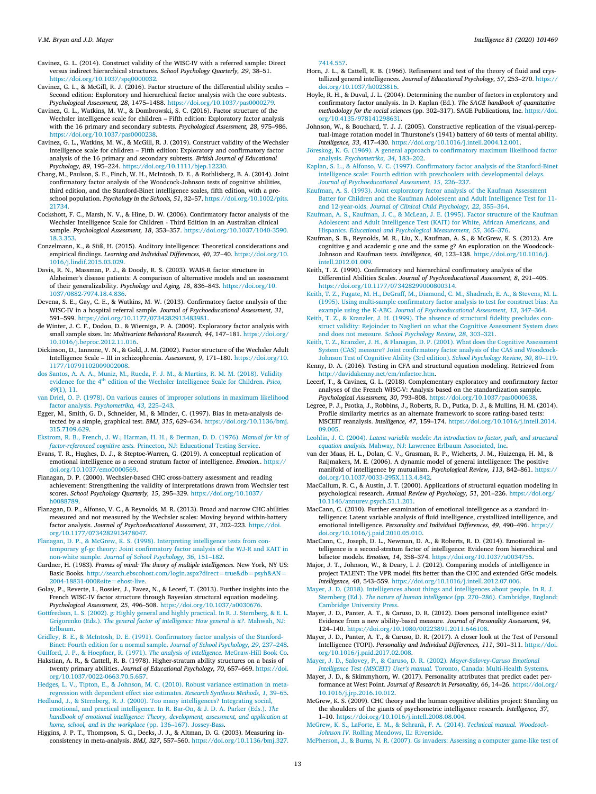<span id="page-12-22"></span>Cavinez, G. L. (2014). Construct validity of the WISC-IV with a referred sample: Direct versus indirect hierarchical structures. *School Psychology Quarterly, 29*, 38–51. <https://doi.org/10.1037/spq0000032>.

- <span id="page-12-36"></span>Cavinez, G. L., & McGill, R. J. (2016). Factor structure of the differential ability scales – Second edition: Exploratory and hierarchical factor analysis with the core subtests. *Psychological Assessment, 28*, 1475–1488. [https://doi.org/10.1037/pas0000279.](https://doi.org/10.1037/pas0000279)
- <span id="page-12-24"></span>Cavinez, G. L., Watkins, M. W., & Dombrowski, S. C. (2016). Factor structure of the Wechsler intelligence scale for children – Fifth edition: Exploratory factor analysis with the 16 primary and secondary subtests. *Psychological Assessment, 28*, 975–986. [https://doi.org/10.1037/pas0000238.](https://doi.org/10.1037/pas0000238)

<span id="page-12-26"></span>Cavinez, G. L., Watkins, M. W., & McGill, R. J. (2019). Construct validity of the Wechsler intelligence scale for children – Fifth edition: Exploratory and confirmatory factor analysis of the 16 primary and secondary subtests. *British Journal of Educational Psychology, 89*, 195–224. <https://doi.org/10.1111/bjep.12230>.

<span id="page-12-39"></span>Chang, M., Paulson, S. E., Finch, W. H., McIntosh, D. E., & Rothlisberg, B. A. (2014). Joint confirmatory factor analysis of the Woodcock-Johnson tests of cognitive abilities, third edition, and the Stanford-Binet intelligence scales, fifth edition, with a preschool population. *Psychology in the Schools, 51*, 32–57. [https://doi.org/10.1002/pits.](https://doi.org/10.1002/pits.21734) [21734.](https://doi.org/10.1002/pits.21734)

<span id="page-12-19"></span>Cockshott, F. C., Marsh, N. V., & Hine, D. W. (2006). Confirmatory factor analysis of the Wechsler Intelligence Scale for Children - Third Edition in an Australian clinical sample. *Psychological Assessment, 18*, 353–357. [https://doi.org/10.1037/1040-3590.](https://doi.org/10.1037/1040-3590.18.3.353) [18.3.353.](https://doi.org/10.1037/1040-3590.18.3.353)

<span id="page-12-40"></span>Conzelmann, K., & Süß, H. (2015). Auditory intelligence: Theoretical considerations and empirical findings. *Learning and Individual Differences, 40*, 27–40. [https://doi.org/10.](https://doi.org/10.1016/j.lindif.2015.03.029) [1016/j.lindif.2015.03.029](https://doi.org/10.1016/j.lindif.2015.03.029).

<span id="page-12-27"></span>Davis, R. N., Massman, P. J., & Doody, R. S. (2003). WAIS-R factor structure in Alzheimer's disease patients: A comparison of alternative models and an assessment of their generalizability. *Psychology and Aging, 18*, 836–843. [https://doi.org/10.](https://doi.org/10.1037/0882-7974.18.4.836) [1037/0882-7974.18.4.836.](https://doi.org/10.1037/0882-7974.18.4.836)

<span id="page-12-20"></span>Devena, S. E., Gay, C. E., & Watkins, M. W. (2013). Confirmatory factor analysis of the WISC-IV in a hospital referral sample. *Journal of Psychoeducational Assessment, 31*, 591–599. <https://doi.org/10.1177/0734282913483981>.

<span id="page-12-50"></span>de Winter, J. C. F., Dodou, D., & Wierniga, P. A. (2009). Exploratory factor analysis with small sample sizes. In: *Multivariate Behavioral Research, 44*, 147–181. [https://doi.org/](https://doi.org/10.1016/j.beproc.2012.11.016) [10.1016/j.beproc.2012.11.016](https://doi.org/10.1016/j.beproc.2012.11.016).

<span id="page-12-28"></span>Dickinson, D., Iannone, V. N., & Gold, J. M. (2002). Factor structure of the Wechsler Adult Intelligence Scale – III in schizophrenia. *Assessment, 9*, 171–180. [https://doi.org/10.](https://doi.org/10.1177/10791102009002008) [1177/10791102009002008](https://doi.org/10.1177/10791102009002008).

<span id="page-12-23"></span>[dos Santos, A. A. A., Muniz, M., Rueda, F. J. M., & Martins, R. M. M. \(2018\). Validity](http://refhub.elsevier.com/S0160-2896(20)30047-7/rf0130) evidence for the 4<sup>th</sup> [edition of the Wechsler Intelligence Scale for Children.](http://refhub.elsevier.com/S0160-2896(20)30047-7/rf0130) *Psico*, *49*[\(1\), 11](http://refhub.elsevier.com/S0160-2896(20)30047-7/rf0130).

<span id="page-12-52"></span>[van Driel, O. P. \(1978\). On various causes of improper solutions in maximum likelihood](http://refhub.elsevier.com/S0160-2896(20)30047-7/rf0135) factor analysis. *[Psychometrika, 43](http://refhub.elsevier.com/S0160-2896(20)30047-7/rf0135)*, 225–243.

<span id="page-12-53"></span>Egger, M., Smith, G. D., Schneider, M., & Minder, C. (1997). Bias in meta-analysis detected by a simple, graphical test. *BMJ, 315*, 629–634. [https://doi.org/10.1136/bmj.](https://doi.org/10.1136/bmj.315.7109.629) [315.7109.629](https://doi.org/10.1136/bmj.315.7109.629).

<span id="page-12-46"></span>[Ekstrom, R. B., French, J. W., Harman, H. H., & Derman, D. D. \(1976\).](http://refhub.elsevier.com/S0160-2896(20)30047-7/rf0145) *Manual for kit of factor-referenced cognitive tests.* [Princeton, NJ: Educational Testing Service.](http://refhub.elsevier.com/S0160-2896(20)30047-7/rf0145)

<span id="page-12-42"></span>Evans, T. R., Hughes, D. J., & Steptoe-Warren, G. (2019). A conceptual replication of emotional intelligence as a second stratum factor of intelligence. *Emotion.*. [https://](https://doi.org/10.1037/emo0000569) [doi.org/10.1037/emo0000569](https://doi.org/10.1037/emo0000569).

<span id="page-12-14"></span>Flanagan, D. P. (2000). Wechsler-based CHC cross-battery assessment and reading achievement: Strengthening the validity of interpretations drawn from Wechsler test scores. *School Psychology Quarterly, 15*, 295–329. [https://doi.org/10.1037/](https://doi.org/10.1037/h0088789) [h0088789](https://doi.org/10.1037/h0088789).

<span id="page-12-3"></span>Flanagan, D. P., Alfonso, V. C., & Reynolds, M. R. (2013). Broad and narrow CHC abilities measured and not measured by the Wechsler scales: Moving beyond within-battery factor analysis. *Journal of Psychoeducational Assessment, 31*, 202–223. [https://doi.](https://doi.org/10.1177/0734282913478047) [org/10.1177/0734282913478047.](https://doi.org/10.1177/0734282913478047)

<span id="page-12-15"></span>[Flanagan, D. P., & McGrew, K. S. \(1998\). Interpreting intelligence tests](http://refhub.elsevier.com/S0160-2896(20)30047-7/rf0160) from con[temporary gf-gc theory: Joint confirmatory factor analysis of the WJ-R and KAIT in](http://refhub.elsevier.com/S0160-2896(20)30047-7/rf0160) non-white sample. *[Journal of School Psychology, 36](http://refhub.elsevier.com/S0160-2896(20)30047-7/rf0160)*, 151–182.

<span id="page-12-8"></span>Gardner, H. (1983). *Frames of mind: The theory of multiple intelligences.* New York, NY US: Basic Books. [http://search.ebscohost.com/login.aspx?direct=true&db=psyh&AN=](http://search.ebscohost.com/login.aspx?direct=true&db=psyh&AN=2004-18831-000&site=ehost-live) [2004-18831-000&site=ehost-live.](http://search.ebscohost.com/login.aspx?direct=true&db=psyh&AN=2004-18831-000&site=ehost-live)

<span id="page-12-21"></span>Golay, P., Reverte, I., Rossier, J., Favez, N., & Lecerf, T. (2013). Further insights into the French WISC-IV factor structure through Bayesian structural equation modeling. *Psychological Assessment, 25*, 496–508. [https://doi.org/10.1037/a0030676.](https://doi.org/10.1037/a0030676)

<span id="page-12-0"></span>Gottfredson, L. S. (2002). *g:* [Highly general and highly practical. In R. J. Sternberg, & E. L.](http://refhub.elsevier.com/S0160-2896(20)30047-7/rf0175) Grigorenko (Eds.). *[The general factor of intelligence: How general is it?](http://refhub.elsevier.com/S0160-2896(20)30047-7/rf0175)*. Mahwah, NJ: [Erlbaum](http://refhub.elsevier.com/S0160-2896(20)30047-7/rf0175).

<span id="page-12-37"></span>[Gridley, B. E., & McIntosh, D. E. \(1991\). Confirmatory factor analysis of the Stanford-](http://refhub.elsevier.com/S0160-2896(20)30047-7/rf0180)

<span id="page-12-45"></span>[Binet: Fourth edition for a normal sample.](http://refhub.elsevier.com/S0160-2896(20)30047-7/rf0180) *Journal of School Psychology, 29*, 237–248. [Guilford, J. P., & Hoepfner, R. \(1971\).](http://refhub.elsevier.com/S0160-2896(20)30047-7/rf0185) *The analysis of intelligence.* McGraw-Hill Book Co.

<span id="page-12-44"></span>Hakstian, A. R., & Cattell, R. B. (1978). Higher-stratum ability structures on a basis of twenty primary abilities. *Journal of Educational Psychology, 70*, 657–669. [https://doi.](https://doi.org/10.1037/0022-0663.70.5.657) [org/10.1037/0022-0663.70.5.657](https://doi.org/10.1037/0022-0663.70.5.657).

<span id="page-12-47"></span>[Hedges, L. V., Tipton, E., & Johnson, M. C. \(2010\). Robust variance estimation in meta](http://refhub.elsevier.com/S0160-2896(20)30047-7/rf0195)[regression with dependent effect size estimates.](http://refhub.elsevier.com/S0160-2896(20)30047-7/rf0195) *Research Synthesis Methods, 1*, 39–65.

<span id="page-12-7"></span>[Hedlund, J., & Sternberg, R. J. \(2000\). Too many intelligences? Integrating social,](http://refhub.elsevier.com/S0160-2896(20)30047-7/rf0200) [emotional, and practical intelligence. In R. Bar-On, & J. D. A. Parker \(Eds.\).](http://refhub.elsevier.com/S0160-2896(20)30047-7/rf0200) *The [handbook of emotional intelligence: Theory, development, assessment, and application at](http://refhub.elsevier.com/S0160-2896(20)30047-7/rf0200) [home, school, and in the workplace](http://refhub.elsevier.com/S0160-2896(20)30047-7/rf0200)* (pp. 136–167). Jossey-Bass.

<span id="page-12-35"></span>Higgins, J. P. T., Thompson, S. G., Deeks, J. J., & Altman, D. G. (2003). Measuring inconsistency in meta-analysis. *BMJ, 327*, 557–560. [https://doi.org/10.1136/bmj.327.](https://doi.org/10.1136/bmj.327.7414.557) [7414.557](https://doi.org/10.1136/bmj.327.7414.557).

- <span id="page-12-43"></span>Horn, J. L., & Cattell, R. B. (1966). Refinement and test of the theory of fluid and crystallized general intelligences. *Journal of Educational Psychology, 57*, 253–270. [https://](https://doi.org/10.1037/h0023816) [doi.org/10.1037/h0023816](https://doi.org/10.1037/h0023816).
- <span id="page-12-51"></span>Hoyle, R. H., & Duval, J. L. (2004). Determining the number of factors in exploratory and confirmatory factor analysis. In D. Kaplan (Ed.). *The SAGE handbook of quantitative methodology for the social sciences* (pp. 302–317). SAGE Publications, Inc. [https://doi.](https://doi.org/10.4135/978141298631) [org/10.4135/978141298631.](https://doi.org/10.4135/978141298631)

<span id="page-12-4"></span>Johnson, W., & Bouchard, T. J. J. (2005). Constructive replication of the visual-perceptual-image rotation model in Thurstone's (1941) battery of 60 tests of mental ability. *Intelligence, 33*, 417–430. <https://doi.org/10.1016/j.intell.2004.12.001>.

<span id="page-12-49"></span>[Jöreskog, K. G. \(1969\). A general approach to confirmatory maximum likelihood factor](http://refhub.elsevier.com/S0160-2896(20)30047-7/rf0225) analysis. *[Psychometrika, 34](http://refhub.elsevier.com/S0160-2896(20)30047-7/rf0225)*, 183–202.

<span id="page-12-38"></span>[Kaplan, S. L., & Alfonso, V. C. \(1997\). Confirmatory factor analysis of the Stanford-Binet](http://refhub.elsevier.com/S0160-2896(20)30047-7/rf0230) [intelligence scale: Fourth edition with preschoolers with developmental delays.](http://refhub.elsevier.com/S0160-2896(20)30047-7/rf0230) *[Journal of Psychoeducational Assessment, 15](http://refhub.elsevier.com/S0160-2896(20)30047-7/rf0230)*, 226–237.

<span id="page-12-30"></span>[Kaufman, A. S. \(1993\). Joint exploratory factor analysis of the Kaufman Assessment](http://refhub.elsevier.com/S0160-2896(20)30047-7/rf0235) [Batter for Children and the Kaufman Adolescent and Adult Intelligence](http://refhub.elsevier.com/S0160-2896(20)30047-7/rf0235) Test for 11 and 12-year-olds. *[Journal of Clinical Child Psychology, 22](http://refhub.elsevier.com/S0160-2896(20)30047-7/rf0235)*, 355–364.

<span id="page-12-31"></span>[Kaufman, A. S., Kaufman, J. C., & McLean, J. E. \(1995\). Factor structure of the](http://refhub.elsevier.com/S0160-2896(20)30047-7/rf0240) Kaufman [Adolescent and Adult Intelligence Test \(KAIT\) for White, African Americans, and](http://refhub.elsevier.com/S0160-2896(20)30047-7/rf0240) Hispanics. *[Educational and Psychological Measurement, 55](http://refhub.elsevier.com/S0160-2896(20)30047-7/rf0240)*, 365–376.

<span id="page-12-17"></span>Kaufman, S. B., Reynolds, M. R., Liu, X., Kaufman, A. S., & McGrew, K. S. (2012). Are cognitive *g* and academic *g* one and the same *g*? An exploration on the Woodcock-Johnson and Kaufman tests. *Intelligence, 40*, 123–138. [https://doi.org/10.1016/j.](https://doi.org/10.1016/j.intell.2012.01.009) [intell.2012.01.009.](https://doi.org/10.1016/j.intell.2012.01.009)

<span id="page-12-33"></span>Keith, T. Z. (1990). Confirmatory and hierarchical confirmatory analysis of the Differential Abilities Scales. *Journal of Psychoeducational Assessment, 8*, 291–405. [https://doi.org/10.1177/073428299000800314.](https://doi.org/10.1177/073428299000800314)

<span id="page-12-32"></span>[Keith, T. Z., Fugate, M. H., DeGraff, M., Diamond, C. M., Shadrach, E. A., &](http://refhub.elsevier.com/S0160-2896(20)30047-7/rf0255) Stevens, M. L. [\(1995\). Using multi-sample confirmatory factor analysis to test for construct](http://refhub.elsevier.com/S0160-2896(20)30047-7/rf0255) bias: An example using the K-ABC. *[Journal of Psychoeducational Assessment, 13](http://refhub.elsevier.com/S0160-2896(20)30047-7/rf0255)*, 347–364.

<span id="page-12-10"></span>[Keith, T. Z., & Kranzler, J. H. \(1999\). The absence of structural fidelity](http://refhub.elsevier.com/S0160-2896(20)30047-7/rf0260) precludes con[struct validity: Rejoinder to Naglieri on what the Cognitive Assessment System does](http://refhub.elsevier.com/S0160-2896(20)30047-7/rf0260) and does not measure. *[School Psychology Review, 28](http://refhub.elsevier.com/S0160-2896(20)30047-7/rf0260)*, 303–321.

<span id="page-12-16"></span>[Keith, T. Z., Kranzler, J. H., & Flanagan, D. P. \(2001\). What does the Cognitive Assessment](http://refhub.elsevier.com/S0160-2896(20)30047-7/rf0265) [System \(CAS\) measure? Joint confirmatory factor analysis of the CAS and Woodcock-](http://refhub.elsevier.com/S0160-2896(20)30047-7/rf0265)[Johnson Test of Cognitive Ability \(3rd edition\).](http://refhub.elsevier.com/S0160-2896(20)30047-7/rf0265) *School Psychology Review, 30*, 89–119.

<span id="page-12-55"></span>Kenny, D. A. (2016). Testing in CFA and structural equation modeling. Retrieved from <http://davidakenny.net/cm/mfactor.htm>.

<span id="page-12-25"></span>Lecerf, T., & Cavinez, G. L. (2018). Complementary exploratory and confirmatory factor analyses of the French WISC-V: Analysis based on the standardization sample. *Psychological Assessment, 30*, 793–808. [https://doi.org/10.1037/pas0000638.](https://doi.org/10.1037/pas0000638)

<span id="page-12-9"></span>Legree, P. J., Psotka, J., Robbins, J., Roberts, R. D., Putka, D. J., & Mullins, H. M. (2014). Profile similarity metrics as an alternate framework to score rating-based tests: MSCEIT reanalysis. *Intelligence, 47*, 159–174. [https://doi.org/10.1016/j.intell.2014.](https://doi.org/10.1016/j.intell.2014.09.005) [09.005](https://doi.org/10.1016/j.intell.2014.09.005).

<span id="page-12-48"></span>Leohlin, J. C. (2004). *[Latent variable models: An introduction to factor, path, and structural](http://refhub.elsevier.com/S0160-2896(20)30047-7/rf0285) equation analysis.* [Mahway, NJ: Lawrence Erlbaum Associated, Inc](http://refhub.elsevier.com/S0160-2896(20)30047-7/rf0285).

<span id="page-12-1"></span>van der Maas, H. L., Dolan, C. V., Grasman, R. P., Wicherts, J. M., Huizenga, H. M., & Raijmakers, M. E. (2006). A dynamic model of general intelligence: The positive manifold of intelligence by mutualism. *Psychological Review, 113*, 842–861. [https://](https://doi.org/10.1037/0033-295X.113.4.842) [doi.org/10.1037/0033-295X.113.4.842.](https://doi.org/10.1037/0033-295X.113.4.842)

<span id="page-12-54"></span>MacCallum, R. C., & Austin, J. T. (2000). Applications of structural equation modeling in psychological research. *Annual Review of Psychology, 51*, 201–226. [https://doi.org/](https://doi.org/10.1146/annurev.psych.51.1.201) [10.1146/annurev.psych.51.1.201.](https://doi.org/10.1146/annurev.psych.51.1.201)

<span id="page-12-41"></span>MacCann, C. (2010). Further examination of emotional intelligence as a standard intelligence: Latent variable analysis of fluid intelligence, crystallized intelligence, and emotional intelligence. *Personality and Individual Differences, 49*, 490–496. [https://](https://doi.org/10.1016/j.paid.2010.05.010) [doi.org/10.1016/j.paid.2010.05.010.](https://doi.org/10.1016/j.paid.2010.05.010)

<span id="page-12-6"></span>MacCann, C., Joseph, D. L., Newman, D. A., & Roberts, R. D. (2014). Emotional intelligence is a second-stratum factor of intelligence: Evidence from hierarchical and bifactor models. *Emotion, 14*, 358–374. <https://doi.org/10.1037/a0034755>.

<span id="page-12-5"></span>Major, J. T., Johnson, W., & Deary, I. J. (2012). Comparing models of intelligence in project TALENT: The VPR model fits better than the CHC and extended GfGc models. *Intelligence, 40*, 543–559. <https://doi.org/10.1016/j.intell.2012.07.006>.

<span id="page-12-12"></span>[Mayer, J. D. \(2018\). Intelligences about things and intelligences about people. In R. J.](http://refhub.elsevier.com/S0160-2896(20)30047-7/rf0315) Sternberg (Ed.). *The nature of human intelligence* [\(pp. 270–286\). Cambridge, England:](http://refhub.elsevier.com/S0160-2896(20)30047-7/rf0315) [Cambridge University Press](http://refhub.elsevier.com/S0160-2896(20)30047-7/rf0315).

<span id="page-12-34"></span>Mayer, J. D., Panter, A. T., & Caruso, D. R. (2012). Does personal intelligence exist? Evidence from a new ability-based measure. *Journal of Personality Assessment, 94*, 124–140. <https://doi.org/10.1080/00223891.2011.646108>.

<span id="page-12-11"></span>Mayer, J. D., Panter, A. T., & Caruso, D. R. (2017). A closer look at the Test of Personal Intelligence (TOPI). *Personality and Individual Differences, 111*, 301–311. [https://doi.](https://doi.org/10.1016/j.paid.2017.02.008) [org/10.1016/j.paid.2017.02.008](https://doi.org/10.1016/j.paid.2017.02.008).

<span id="page-12-56"></span>[Mayer, J. D., Salovey, P., & Caruso, D. R. \(2002\).](http://refhub.elsevier.com/S0160-2896(20)30047-7/rf0330) *Mayer-Salovey-Caruso Emotional [Intelligence Test \(MSCEIT\) User's manual.](http://refhub.elsevier.com/S0160-2896(20)30047-7/rf0330)* Toronto, Canada: Multi-Health Systems.

<span id="page-12-13"></span>Mayer, J. D., & Skimmyhorn, W. (2017). Personality attributes that predict cadet performance at West Point. *Journal of Research in Personality, 66*, 14–26. [https://doi.org/](https://doi.org/10.1016/j.jrp.2016.10.012) [10.1016/j.jrp.2016.10.012](https://doi.org/10.1016/j.jrp.2016.10.012).

<span id="page-12-2"></span>McGrew, K. S. (2009). CHC theory and the human cognitive abilities project: Standing on the shoulders of the giants of psychometric intelligence research. *Intelligence, 37*, 1–10. <https://doi.org/10.1016/j.intell.2008.08.004>.

<span id="page-12-18"></span>[McGrew, K. S., LaForte, E. M., & Schrank, F. A. \(2014\).](http://refhub.elsevier.com/S0160-2896(20)30047-7/rf0345) *Technical manual. Woodcock-Johnson IV.* [Rolling Meadows, IL: Riverside](http://refhub.elsevier.com/S0160-2896(20)30047-7/rf0345).

<span id="page-12-29"></span>[McPherson, J., & Burns, N. R. \(2007\). Gs invaders: Assessing a computer game-like test of](http://refhub.elsevier.com/S0160-2896(20)30047-7/rf0350)